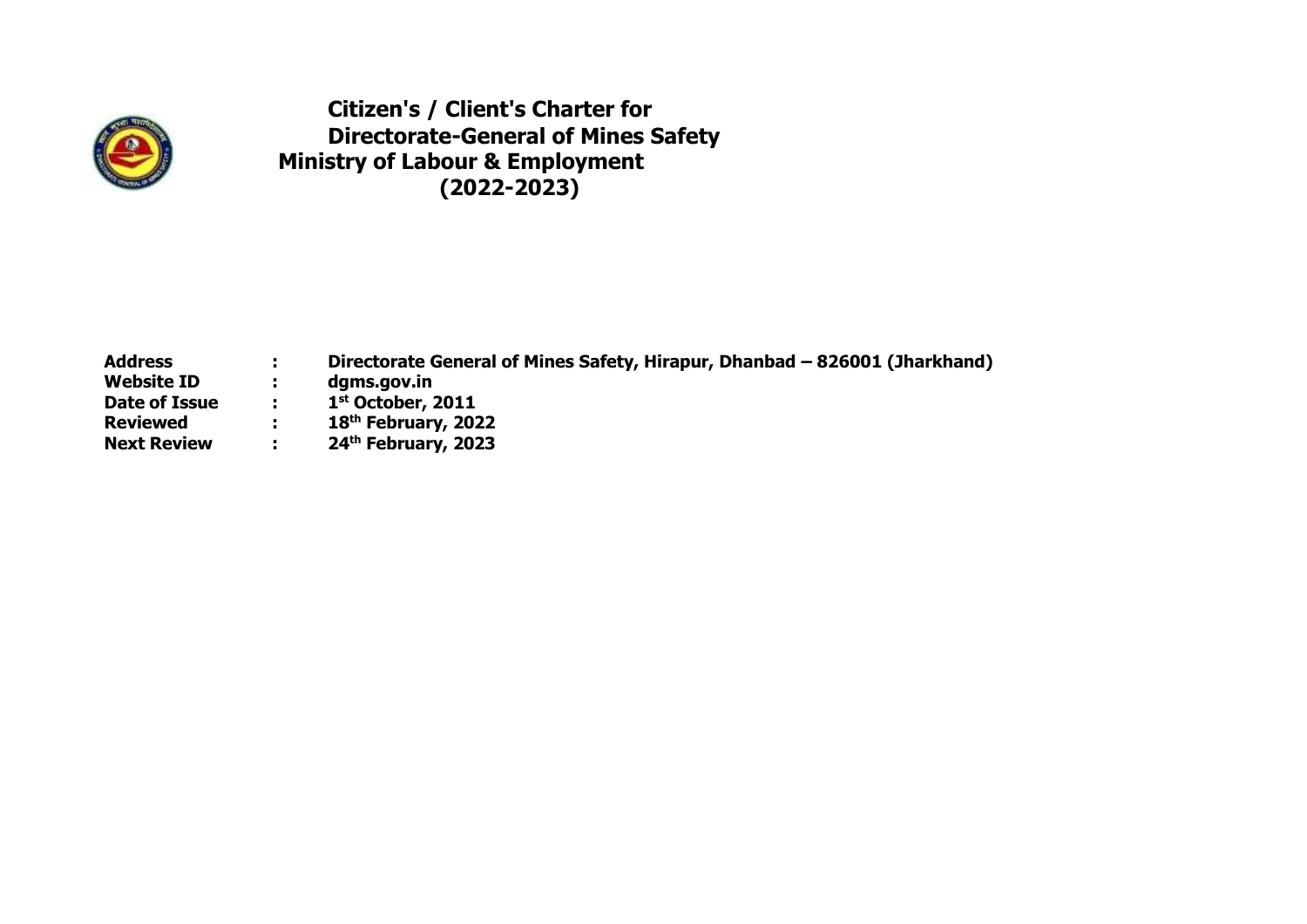

**Citizen's / Client's Charter for Directorate-General of Mines Safety Ministry of Labour & Employment (2022-2023)**

| <b>Address</b>     | н. | Directorate General of Mines Safety, Hirapur, Dhanbad - 826001 (Jharkhand) |
|--------------------|----|----------------------------------------------------------------------------|
| <b>Website ID</b>  |    | dgms.gov.in                                                                |
| Date of Issue      | п. | $1st$ October, 2011                                                        |
| <b>Reviewed</b>    |    | 18 <sup>th</sup> February, 2022                                            |
| <b>Next Review</b> |    | 24 <sup>th</sup> February, 2023                                            |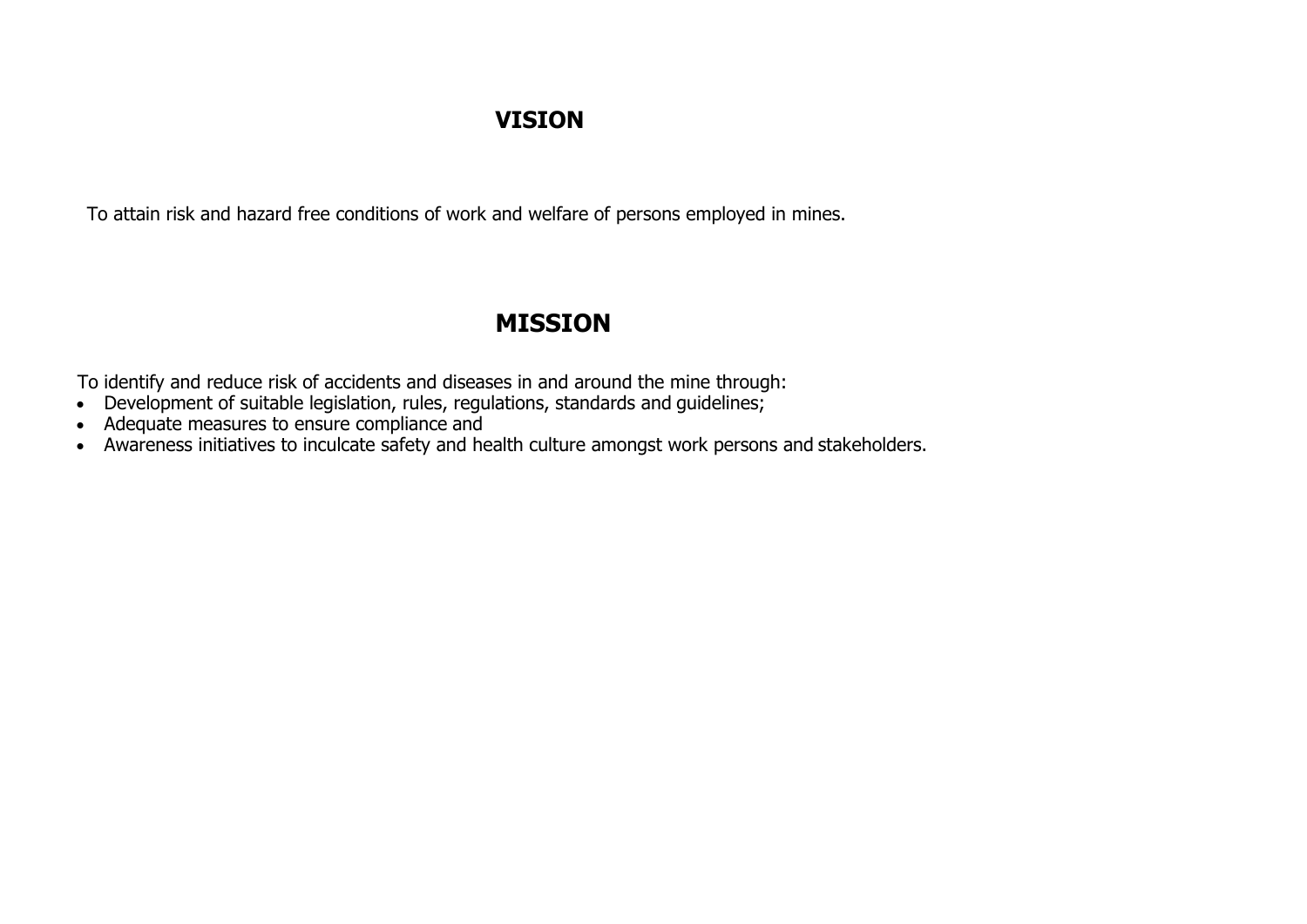#### **VISION**

To attain risk and hazard free conditions of work and welfare of persons employed in mines.

### **MISSION**

To identify and reduce risk of accidents and diseases in and around the mine through:

- Development of suitable legislation, rules, regulations, standards and guidelines;
- Adequate measures to ensure compliance and
- Awareness initiatives to inculcate safety and health culture amongst work persons and stakeholders.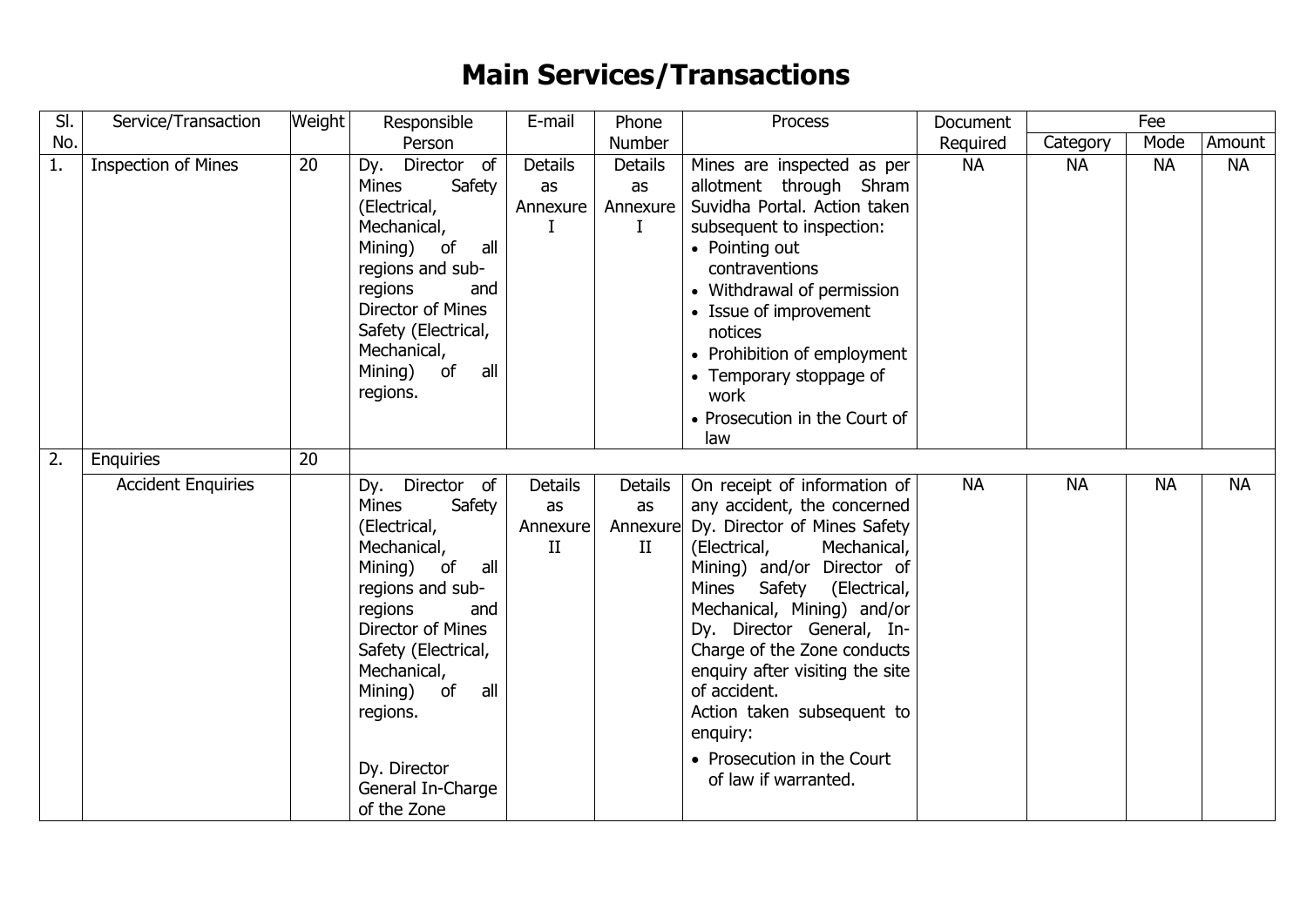## **Main Services/Transactions**

| SI.              | Service/Transaction        | <b>Weight</b> | Responsible                                                                                                                                                                                                                                                                            | E-mail                                           | Phone                                        | Process                                                                                                                                                                                                                                                                                                                                                                                                                                        | Document  |           | Fee       |           |  |
|------------------|----------------------------|---------------|----------------------------------------------------------------------------------------------------------------------------------------------------------------------------------------------------------------------------------------------------------------------------------------|--------------------------------------------------|----------------------------------------------|------------------------------------------------------------------------------------------------------------------------------------------------------------------------------------------------------------------------------------------------------------------------------------------------------------------------------------------------------------------------------------------------------------------------------------------------|-----------|-----------|-----------|-----------|--|
| No.              |                            |               | Person                                                                                                                                                                                                                                                                                 |                                                  | Number                                       |                                                                                                                                                                                                                                                                                                                                                                                                                                                | Required  | Category  | Mode      | Amount    |  |
| 1.               | <b>Inspection of Mines</b> | 20            | Director of<br>Dy.<br>Mines<br>Safety<br>(Electrical,<br>Mechanical,<br>Mining) of<br>all<br>regions and sub-<br>regions<br>and<br>Director of Mines<br>Safety (Electrical,<br>Mechanical,<br>Mining) of<br>all<br>regions.                                                            | <b>Details</b><br>as<br>Annexure<br>L            | <b>Details</b><br>as<br>Annexure<br>$\bf{I}$ | Mines are inspected as per<br>allotment through Shram<br>Suvidha Portal. Action taken<br>subsequent to inspection:<br>• Pointing out<br>contraventions<br>• Withdrawal of permission<br>• Issue of improvement<br>notices<br>• Prohibition of employment<br>• Temporary stoppage of<br>work<br>• Prosecution in the Court of<br>law                                                                                                            | <b>NA</b> | <b>NA</b> | <b>NA</b> | <b>NA</b> |  |
| $\overline{2}$ . | <b>Enquiries</b>           | 20            |                                                                                                                                                                                                                                                                                        |                                                  |                                              |                                                                                                                                                                                                                                                                                                                                                                                                                                                |           |           |           |           |  |
|                  | <b>Accident Enquiries</b>  |               | Dy. Director of<br>Safety<br><b>Mines</b><br>(Electrical,<br>Mechanical,<br>Mining) of<br>all<br>regions and sub-<br>regions<br>and<br>Director of Mines<br>Safety (Electrical,<br>Mechanical,<br>all<br>Mining)<br>of<br>regions.<br>Dy. Director<br>General In-Charge<br>of the Zone | <b>Details</b><br>as<br>Annexure<br>$\mathbf{I}$ | Details<br>as<br>II                          | On receipt of information of<br>any accident, the concerned<br>Annexure Dy. Director of Mines Safety<br>Mechanical,<br>(Electrical,<br>Mining) and/or Director of<br>Mines<br>Safety (Electrical,<br>Mechanical, Mining) and/or<br>Dy. Director General, In-<br>Charge of the Zone conducts<br>enquiry after visiting the site<br>of accident.<br>Action taken subsequent to<br>enquiry:<br>• Prosecution in the Court<br>of law if warranted. | <b>NA</b> | <b>NA</b> | <b>NA</b> | <b>NA</b> |  |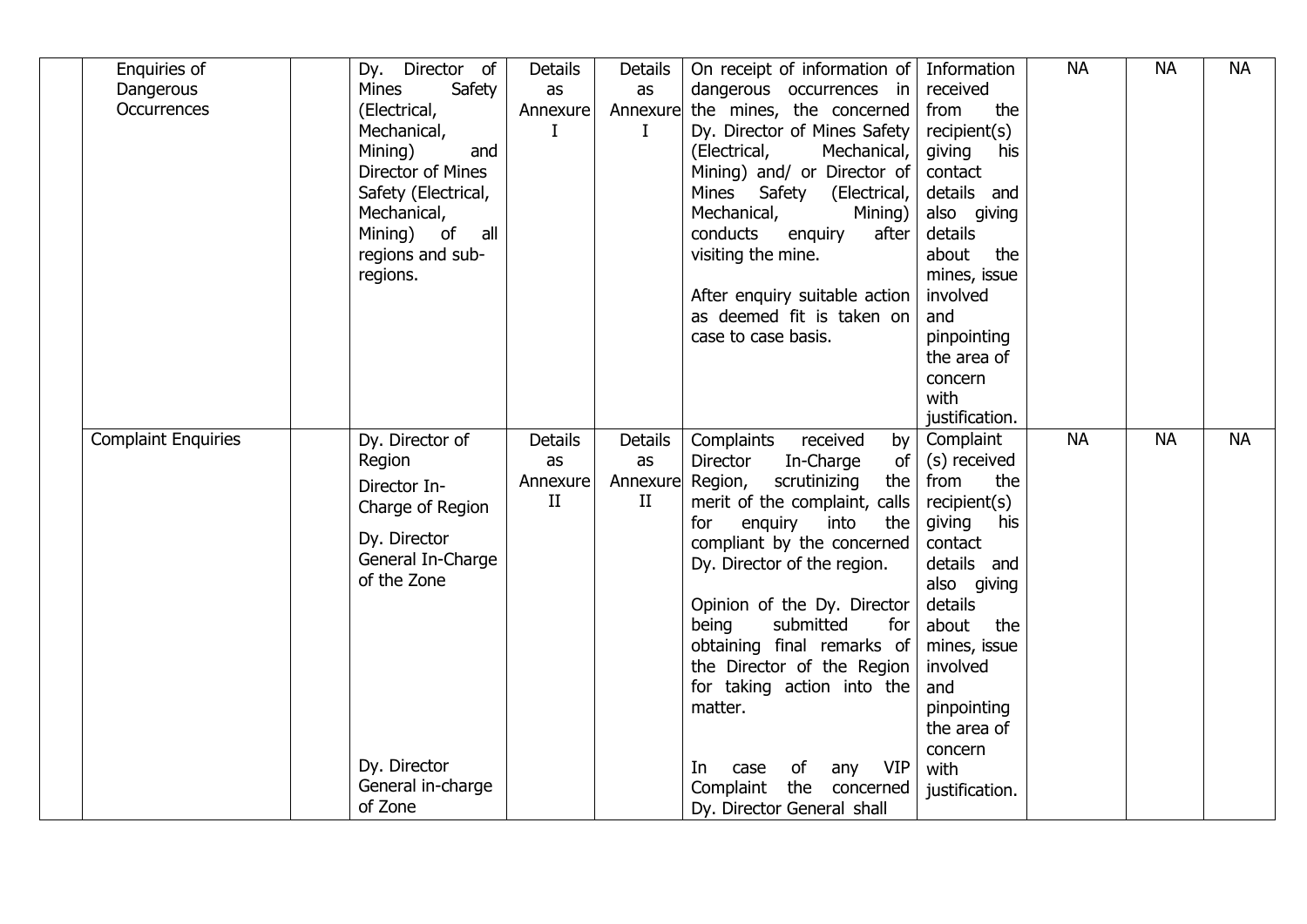| Enquiries of               | Dy. Director of          | <b>Details</b> | <b>Details</b> | On receipt of information of   Information              |                          | <b>NA</b> | <b>NA</b> | <b>NA</b> |
|----------------------------|--------------------------|----------------|----------------|---------------------------------------------------------|--------------------------|-----------|-----------|-----------|
| Dangerous                  | <b>Mines</b><br>Safety   | as             | as             | $d$ angerous occurrences in                             | received                 |           |           |           |
| <b>Occurrences</b>         | (Electrical,             | Annexure       | Annexure       | the mines, the concerned                                | the<br>from              |           |           |           |
|                            | Mechanical,              | I              | Ι.             | Dy. Director of Mines Safety                            | recipient(s)             |           |           |           |
|                            | Mining)<br>and           |                |                | (Electrical,<br>Mechanical,                             | giving<br>his            |           |           |           |
|                            | <b>Director of Mines</b> |                |                | Mining) and/ or Director of                             | contact                  |           |           |           |
|                            | Safety (Electrical,      |                |                | Mines Safety<br>(Electrical,                            | details and              |           |           |           |
|                            | Mechanical,              |                |                | Mechanical,<br>Mining)                                  | also giving              |           |           |           |
|                            | Mining) of<br>all        |                |                | conducts<br>enquiry<br>after                            | details                  |           |           |           |
|                            | regions and sub-         |                |                | visiting the mine.                                      | about<br>the             |           |           |           |
|                            | regions.                 |                |                |                                                         | mines, issue             |           |           |           |
|                            |                          |                |                | After enquiry suitable action                           | involved                 |           |           |           |
|                            |                          |                |                | as deemed fit is taken on                               | and                      |           |           |           |
|                            |                          |                |                | case to case basis.                                     | pinpointing              |           |           |           |
|                            |                          |                |                |                                                         | the area of              |           |           |           |
|                            |                          |                |                |                                                         | concern                  |           |           |           |
|                            |                          |                |                |                                                         | with                     |           |           |           |
|                            |                          |                |                |                                                         | justification.           |           |           |           |
| <b>Complaint Enquiries</b> | Dy. Director of          | <b>Details</b> | <b>Details</b> | Complaints<br>received<br>by <sub>l</sub>               | Complaint                | <b>NA</b> | <b>NA</b> | <b>NA</b> |
|                            | Region                   | as             | as             | In-Charge<br>Director<br>of                             | (s) received             |           |           |           |
|                            | Director In-             | Annexure       | Annexure       | Region,<br>scrutinizing<br>the                          | the<br>from              |           |           |           |
|                            | Charge of Region         | $\mathbf{I}$   | $\rm II$       | merit of the complaint, calls                           | recipient(s)             |           |           |           |
|                            | Dy. Director             |                |                | for<br>enquiry<br>into<br>the                           | giving<br>his            |           |           |           |
|                            | General In-Charge        |                |                | compliant by the concerned                              | contact                  |           |           |           |
|                            | of the Zone              |                |                | Dy. Director of the region.                             | details and              |           |           |           |
|                            |                          |                |                |                                                         | also giving              |           |           |           |
|                            |                          |                |                | Opinion of the Dy. Director                             | details                  |           |           |           |
|                            |                          |                |                | submitted<br>being<br>for<br>obtaining final remarks of | about<br>the             |           |           |           |
|                            |                          |                |                | the Director of the Region                              | mines, issue<br>involved |           |           |           |
|                            |                          |                |                | for taking action into the                              | and                      |           |           |           |
|                            |                          |                |                | matter.                                                 | pinpointing              |           |           |           |
|                            |                          |                |                |                                                         | the area of              |           |           |           |
|                            |                          |                |                |                                                         | concern                  |           |           |           |
|                            | Dy. Director             |                |                | <b>VIP</b><br>of<br>In<br>case<br>any                   | with                     |           |           |           |
|                            | General in-charge        |                |                | Complaint<br>the concerned                              | justification.           |           |           |           |
|                            | of Zone                  |                |                | Dy. Director General shall                              |                          |           |           |           |
|                            |                          |                |                |                                                         |                          |           |           |           |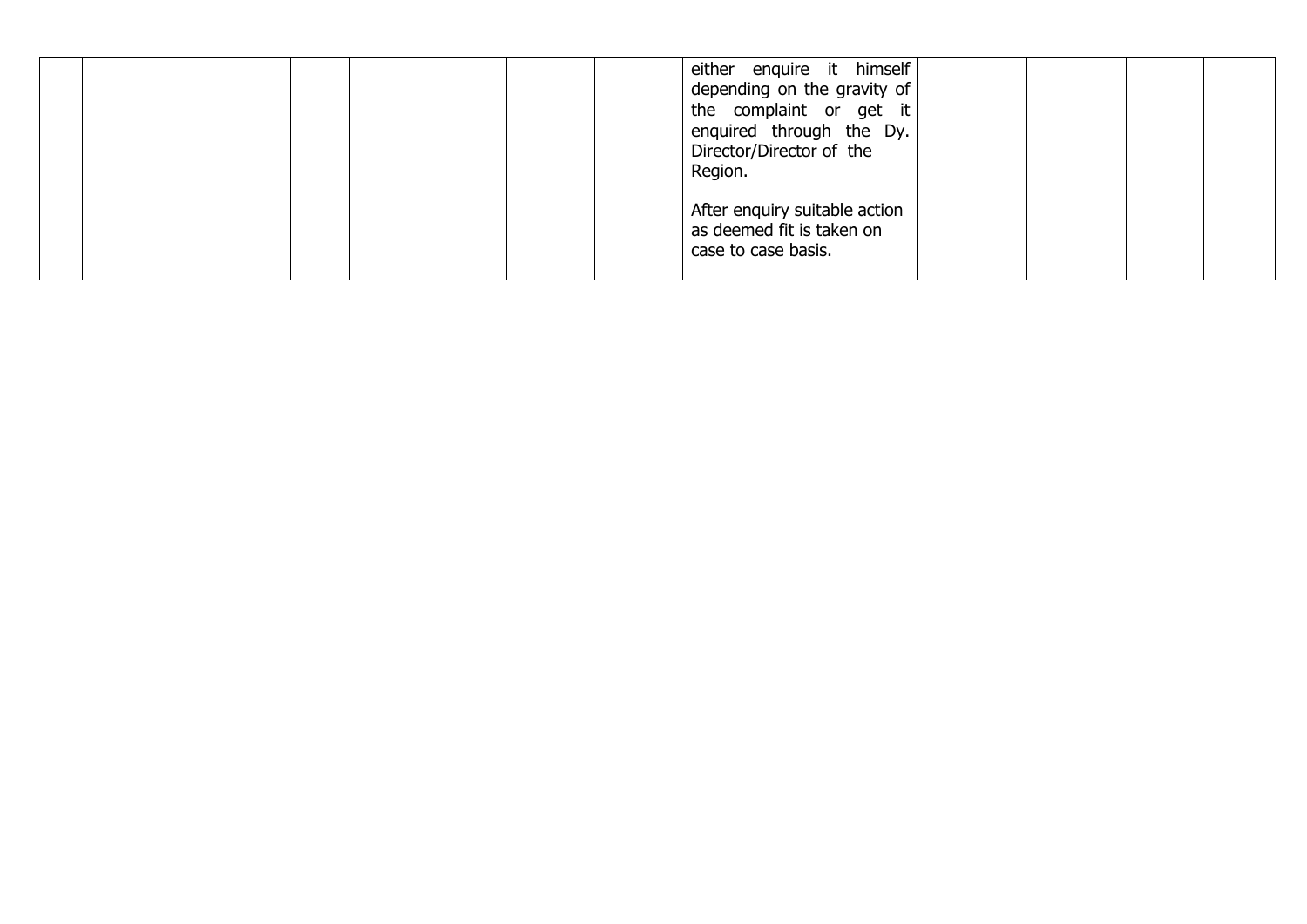|  | either enquire it himself<br>depending on the gravity of<br>the complaint or get it<br>enquired through the Dy.<br>Director/Director of the<br>Region. |  |  |
|--|--------------------------------------------------------------------------------------------------------------------------------------------------------|--|--|
|  | After enquiry suitable action<br>as deemed fit is taken on<br>case to case basis.                                                                      |  |  |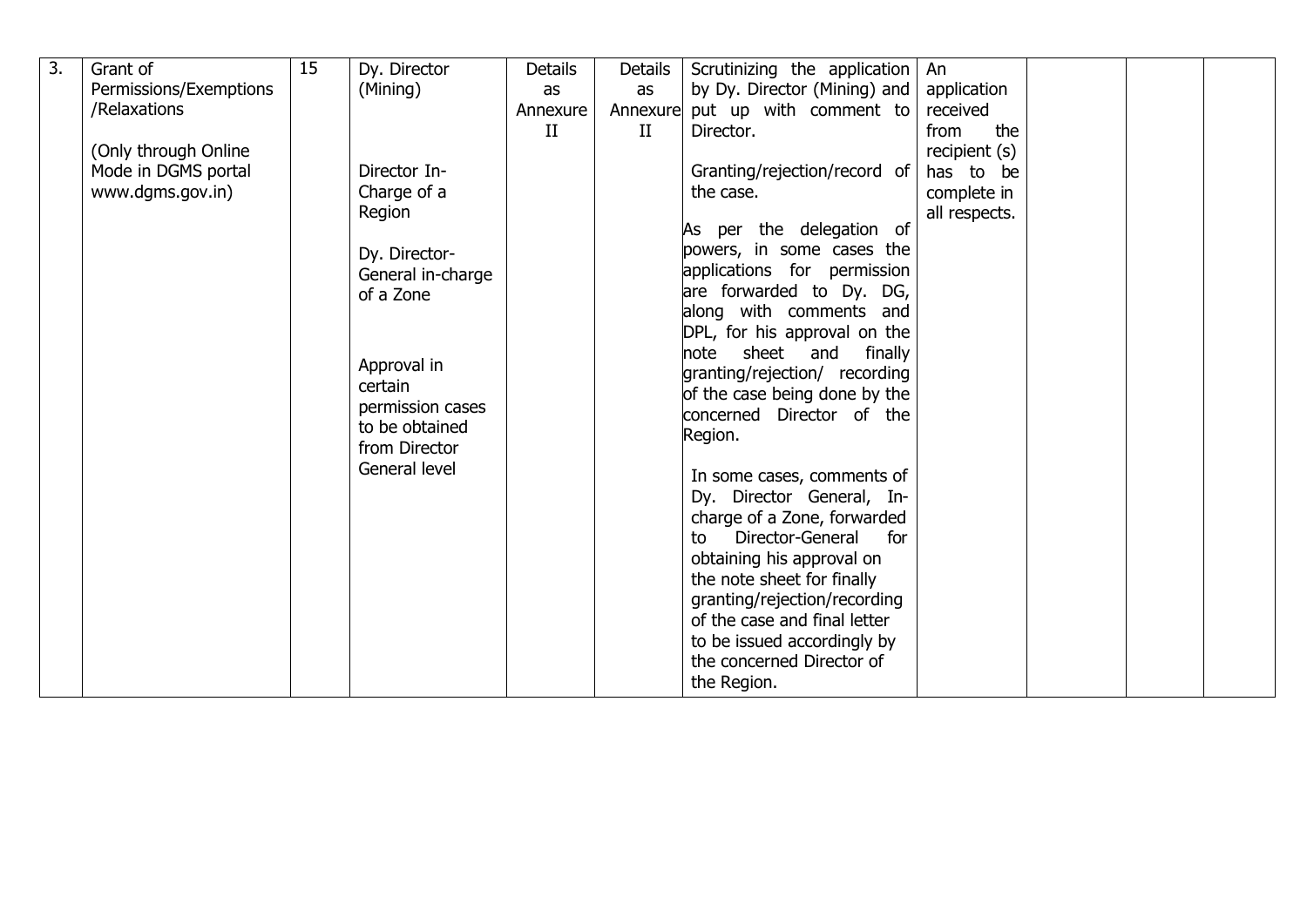| $\overline{3}$ . | Grant of               | 15 | Dy. Director      | <b>Details</b> | Details | Scrutinizing the application    | An            |  |  |
|------------------|------------------------|----|-------------------|----------------|---------|---------------------------------|---------------|--|--|
|                  | Permissions/Exemptions |    | (Mining)          | as             | as      | by Dy. Director (Mining) and    | application   |  |  |
|                  | /Relaxations           |    |                   | Annexure       |         | Annexure put up with comment to | received      |  |  |
|                  |                        |    |                   | $\mathbf{H}$   | II      | Director.                       | the<br>from   |  |  |
|                  | (Only through Online   |    |                   |                |         |                                 | recipient (s) |  |  |
|                  | Mode in DGMS portal    |    | Director In-      |                |         | Granting/rejection/record of    | has to be     |  |  |
|                  | www.dgms.gov.in)       |    | Charge of a       |                |         | the case.                       | complete in   |  |  |
|                  |                        |    | Region            |                |         |                                 | all respects. |  |  |
|                  |                        |    |                   |                |         | As per the delegation of        |               |  |  |
|                  |                        |    | Dy. Director-     |                |         | powers, in some cases the       |               |  |  |
|                  |                        |    | General in-charge |                |         | applications for permission     |               |  |  |
|                  |                        |    | of a Zone         |                |         | are forwarded to Dy. DG,        |               |  |  |
|                  |                        |    |                   |                |         | along with comments and         |               |  |  |
|                  |                        |    |                   |                |         | DPL, for his approval on the    |               |  |  |
|                  |                        |    |                   |                |         | note sheet and finally          |               |  |  |
|                  |                        |    | Approval in       |                |         | granting/rejection/ recording   |               |  |  |
|                  |                        |    | certain           |                |         | of the case being done by the   |               |  |  |
|                  |                        |    | permission cases  |                |         | concerned Director of the       |               |  |  |
|                  |                        |    | to be obtained    |                |         | Region.                         |               |  |  |
|                  |                        |    | from Director     |                |         |                                 |               |  |  |
|                  |                        |    | General level     |                |         | In some cases, comments of      |               |  |  |
|                  |                        |    |                   |                |         | Dy. Director General, In-       |               |  |  |
|                  |                        |    |                   |                |         | charge of a Zone, forwarded     |               |  |  |
|                  |                        |    |                   |                |         | Director-General<br>for<br>to   |               |  |  |
|                  |                        |    |                   |                |         | obtaining his approval on       |               |  |  |
|                  |                        |    |                   |                |         | the note sheet for finally      |               |  |  |
|                  |                        |    |                   |                |         | granting/rejection/recording    |               |  |  |
|                  |                        |    |                   |                |         | of the case and final letter    |               |  |  |
|                  |                        |    |                   |                |         | to be issued accordingly by     |               |  |  |
|                  |                        |    |                   |                |         | the concerned Director of       |               |  |  |
|                  |                        |    |                   |                |         | the Region.                     |               |  |  |
|                  |                        |    |                   |                |         |                                 |               |  |  |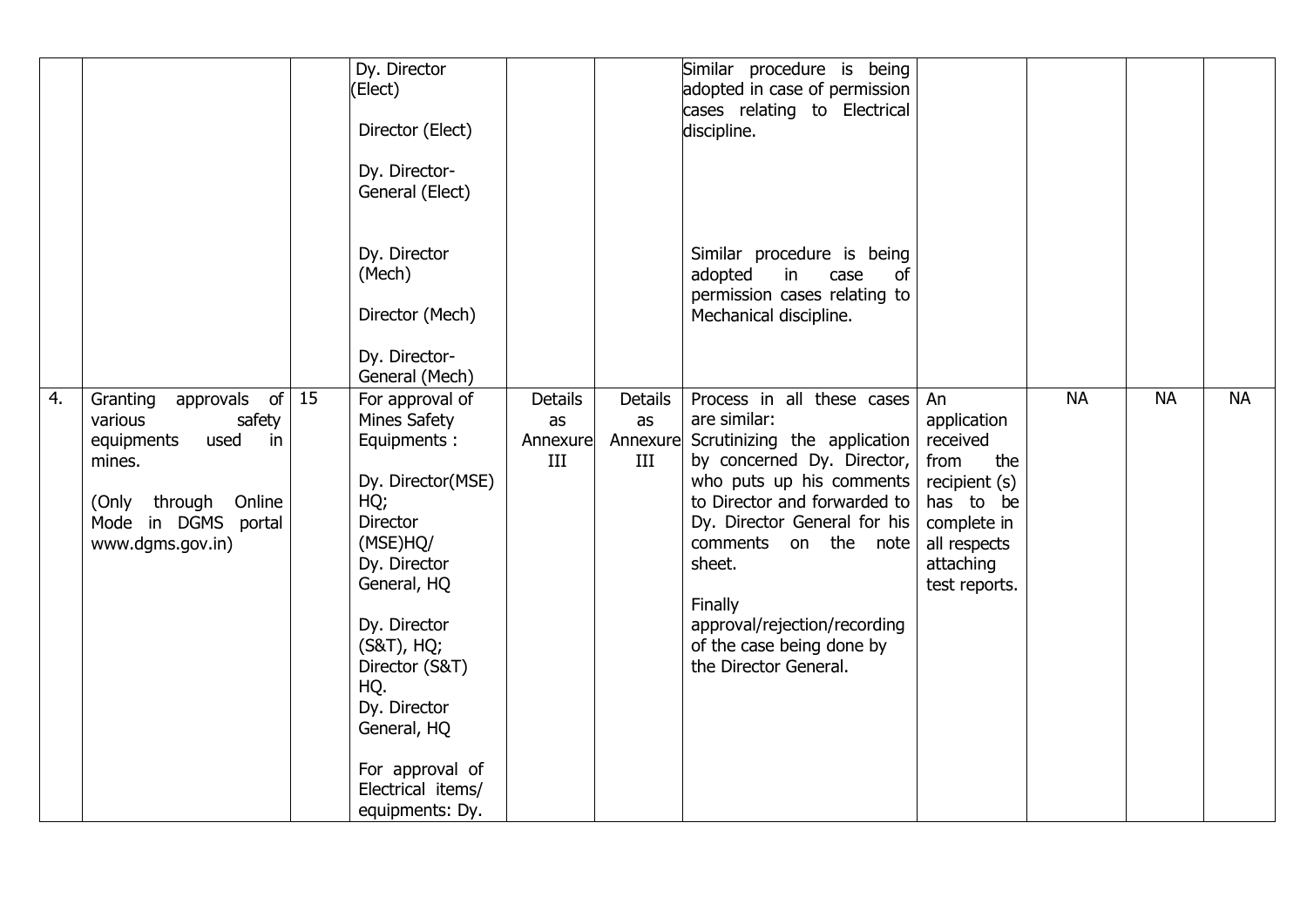|    |                                                                                                                                                        |    | Dy. Director<br>(Elect)<br>Director (Elect)<br>Dy. Director-<br>General (Elect)                                                                                                                                                                                                           |                                         |                                  | Similar procedure is being<br>adopted in case of permission<br>cases relating to Electrical<br>discipline.                                                                                                                                                                                                                              |                                                                                                                                         |           |           |           |
|----|--------------------------------------------------------------------------------------------------------------------------------------------------------|----|-------------------------------------------------------------------------------------------------------------------------------------------------------------------------------------------------------------------------------------------------------------------------------------------|-----------------------------------------|----------------------------------|-----------------------------------------------------------------------------------------------------------------------------------------------------------------------------------------------------------------------------------------------------------------------------------------------------------------------------------------|-----------------------------------------------------------------------------------------------------------------------------------------|-----------|-----------|-----------|
|    |                                                                                                                                                        |    | Dy. Director<br>(Mech)<br>Director (Mech)<br>Dy. Director-<br>General (Mech)                                                                                                                                                                                                              |                                         |                                  | Similar procedure is being<br>adopted<br>case<br>in<br>of<br>permission cases relating to<br>Mechanical discipline.                                                                                                                                                                                                                     |                                                                                                                                         |           |           |           |
| 4. | approvals of<br>Granting<br>safety<br>various<br>used<br>equipments<br>in<br>mines.<br>(Only through Online<br>Mode in DGMS portal<br>www.dgms.gov.in) | 15 | For approval of<br>Mines Safety<br>Equipments:<br>Dy. Director(MSE)<br>HQ;<br><b>Director</b><br>(MSE)HQ/<br>Dy. Director<br>General, HQ<br>Dy. Director<br>(S&T), HQ;<br>Director (S&T)<br>HQ.<br>Dy. Director<br>General, HQ<br>For approval of<br>Electrical items/<br>equipments: Dy. | <b>Details</b><br>as<br>Annexure<br>III | Details<br>as<br>Annexure<br>III | Process in all these cases<br>are similar:<br>Scrutinizing the application<br>by concerned Dy. Director,<br>who puts up his comments<br>to Director and forwarded to<br>Dy. Director General for his<br>comments on the note<br>sheet.<br>Finally<br>approval/rejection/recording<br>of the case being done by<br>the Director General. | An<br>application<br>received<br>from<br>the<br>recipient (s)<br>has to be<br>complete in<br>all respects<br>attaching<br>test reports. | <b>NA</b> | <b>NA</b> | <b>NA</b> |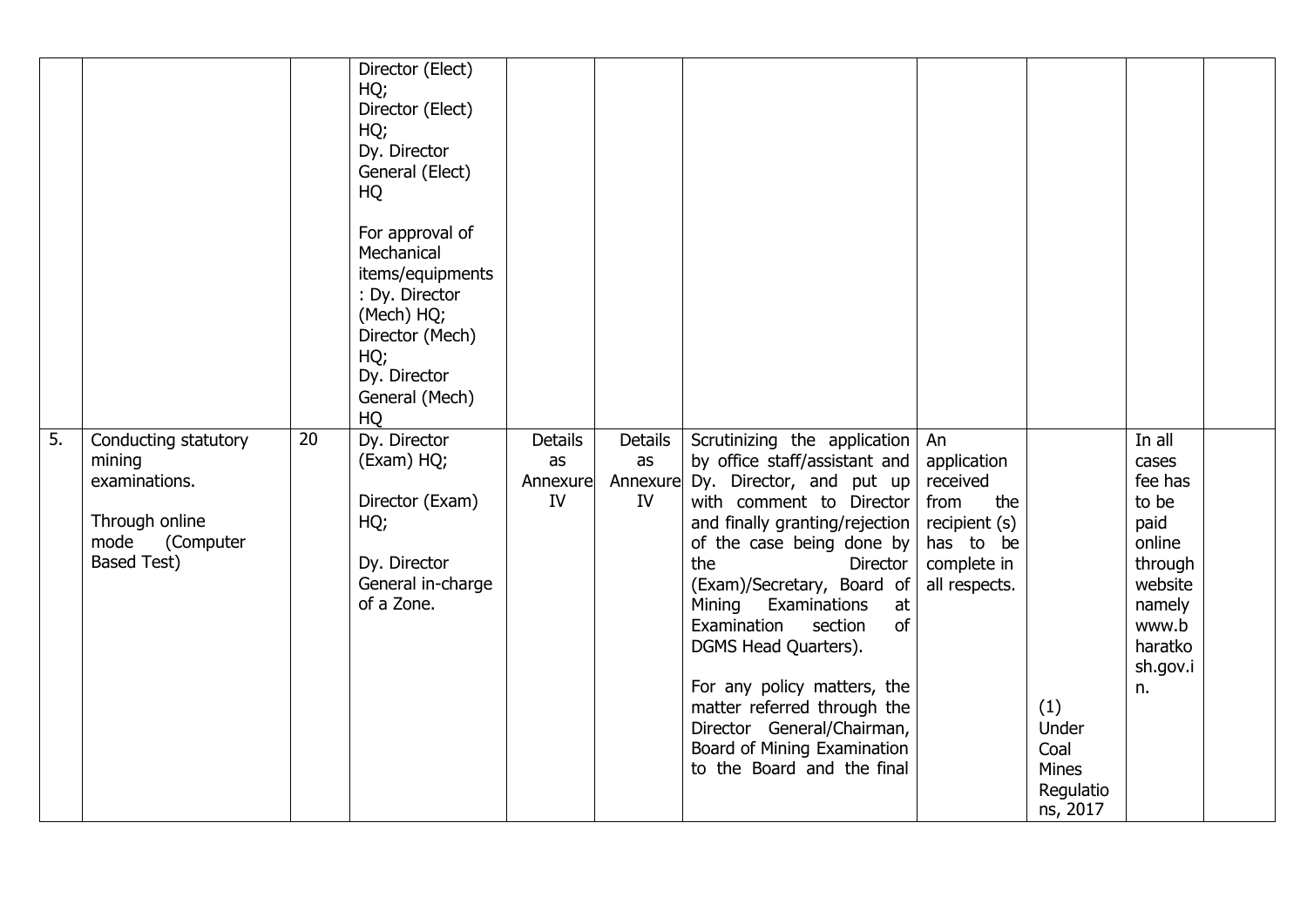|    |                                                                                                              |    | Director (Elect)<br>HQ;<br>Director (Elect)<br>HQ;<br>Dy. Director<br>General (Elect)<br>HQ<br>For approval of<br>Mechanical<br>items/equipments<br>: Dy. Director<br>(Mech) HQ;<br>Director (Mech)<br>HQ;<br>Dy. Director<br>General (Mech)<br>HQ |                                        |                            |                                                                                                                                                                                                                                                                                                                                                                                                                                                                                                 |                                                                                                            |                                                        |                                                                                                                             |  |
|----|--------------------------------------------------------------------------------------------------------------|----|----------------------------------------------------------------------------------------------------------------------------------------------------------------------------------------------------------------------------------------------------|----------------------------------------|----------------------------|-------------------------------------------------------------------------------------------------------------------------------------------------------------------------------------------------------------------------------------------------------------------------------------------------------------------------------------------------------------------------------------------------------------------------------------------------------------------------------------------------|------------------------------------------------------------------------------------------------------------|--------------------------------------------------------|-----------------------------------------------------------------------------------------------------------------------------|--|
| 5. | Conducting statutory<br>mining<br>examinations.<br>Through online<br>(Computer<br>mode<br><b>Based Test)</b> | 20 | Dy. Director<br>(Exam) HQ;<br>Director (Exam)<br>HQ;<br>Dy. Director<br>General in-charge<br>of a Zone.                                                                                                                                            | <b>Details</b><br>as<br>Annexure<br>IV | <b>Details</b><br>as<br>IV | Scrutinizing the application<br>by office staff/assistant and<br>Annexure Dy. Director, and put up<br>with comment to Director<br>and finally granting/rejection<br>of the case being done by<br>the<br>Director<br>(Exam)/Secretary, Board of<br>Examinations<br>Mining<br>at<br>of<br>Examination<br>section<br>DGMS Head Quarters).<br>For any policy matters, the<br>matter referred through the<br>Director General/Chairman,<br>Board of Mining Examination<br>to the Board and the final | An<br>application<br>received<br>from<br>the<br>recipient (s)<br>has to be<br>complete in<br>all respects. | (1)<br>Under<br>Coal<br>Mines<br>Regulatio<br>ns, 2017 | In all<br>cases<br>fee has<br>to be<br>paid<br>online<br>through<br>website<br>namely<br>www.b<br>haratko<br>sh.gov.i<br>n. |  |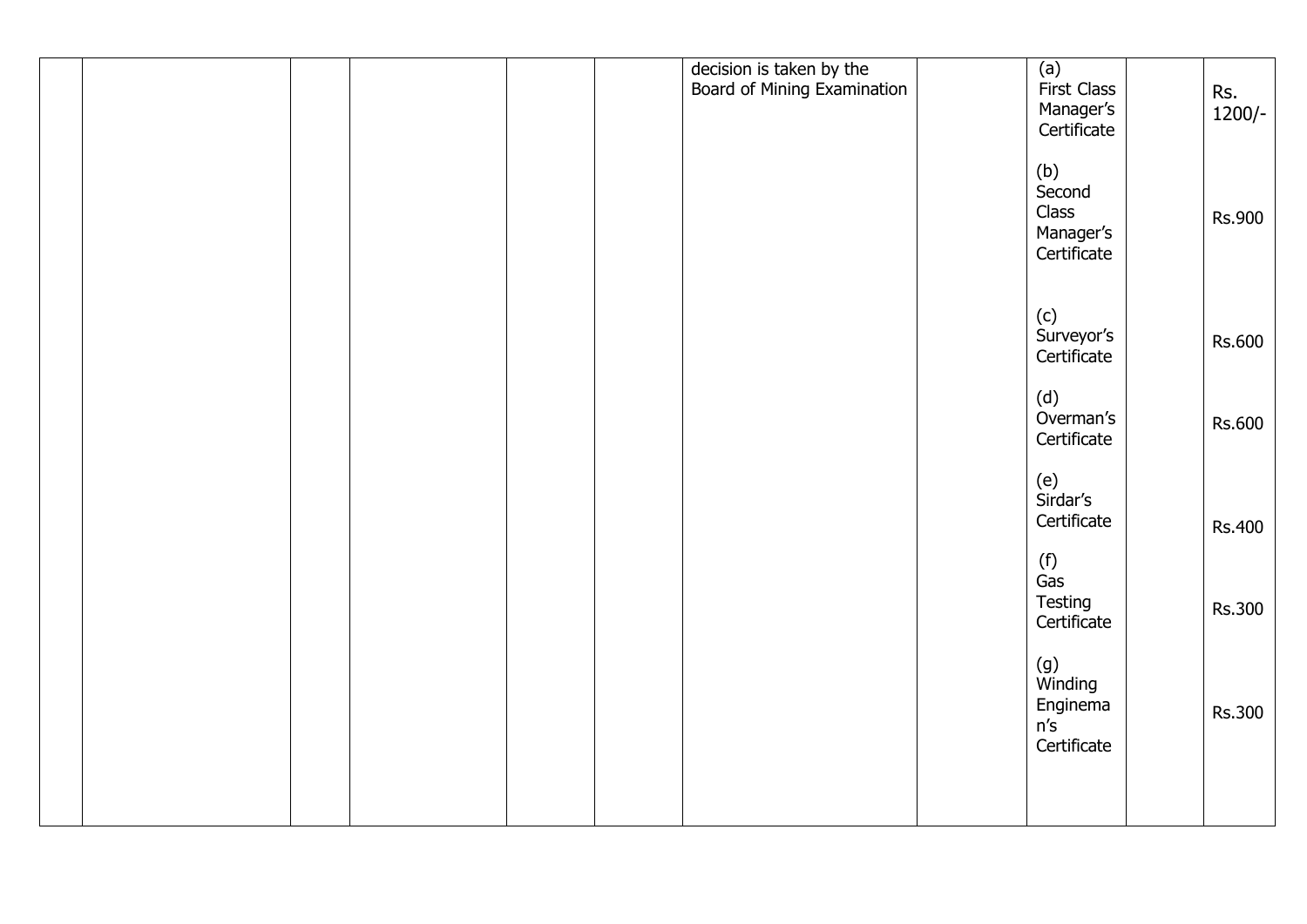|  |  | decision is taken by the<br>Board of Mining Examination | (a)<br>First Class       |               |
|--|--|---------------------------------------------------------|--------------------------|---------------|
|  |  |                                                         |                          | Rs.           |
|  |  |                                                         |                          | $1200/-$      |
|  |  |                                                         | Manager's<br>Certificate |               |
|  |  |                                                         |                          |               |
|  |  |                                                         |                          |               |
|  |  |                                                         | (b)<br>Second            |               |
|  |  |                                                         |                          |               |
|  |  |                                                         | Class                    | <b>Rs.900</b> |
|  |  |                                                         | Manager's                |               |
|  |  |                                                         | Certificate              |               |
|  |  |                                                         |                          |               |
|  |  |                                                         |                          |               |
|  |  |                                                         |                          |               |
|  |  |                                                         | (c)<br>Surveyor's        |               |
|  |  |                                                         |                          | <b>Rs.600</b> |
|  |  |                                                         | Certificate              |               |
|  |  |                                                         |                          |               |
|  |  |                                                         |                          |               |
|  |  |                                                         | (d)<br>Overman's         |               |
|  |  |                                                         |                          | <b>Rs.600</b> |
|  |  |                                                         | Certificate              |               |
|  |  |                                                         |                          |               |
|  |  |                                                         |                          |               |
|  |  |                                                         | (e)<br>Sirdar's          |               |
|  |  |                                                         |                          |               |
|  |  |                                                         | Certificate              | <b>Rs.400</b> |
|  |  |                                                         |                          |               |
|  |  |                                                         |                          |               |
|  |  |                                                         | (f)<br>Gas               |               |
|  |  |                                                         |                          |               |
|  |  |                                                         | Testing<br>Certificate   | Rs.300        |
|  |  |                                                         |                          |               |
|  |  |                                                         |                          |               |
|  |  |                                                         | (g)<br>Winding           |               |
|  |  |                                                         |                          |               |
|  |  |                                                         | Enginema                 |               |
|  |  |                                                         | n's                      | <b>Rs.300</b> |
|  |  |                                                         |                          |               |
|  |  |                                                         | Certificate              |               |
|  |  |                                                         |                          |               |
|  |  |                                                         |                          |               |
|  |  |                                                         |                          |               |
|  |  |                                                         |                          |               |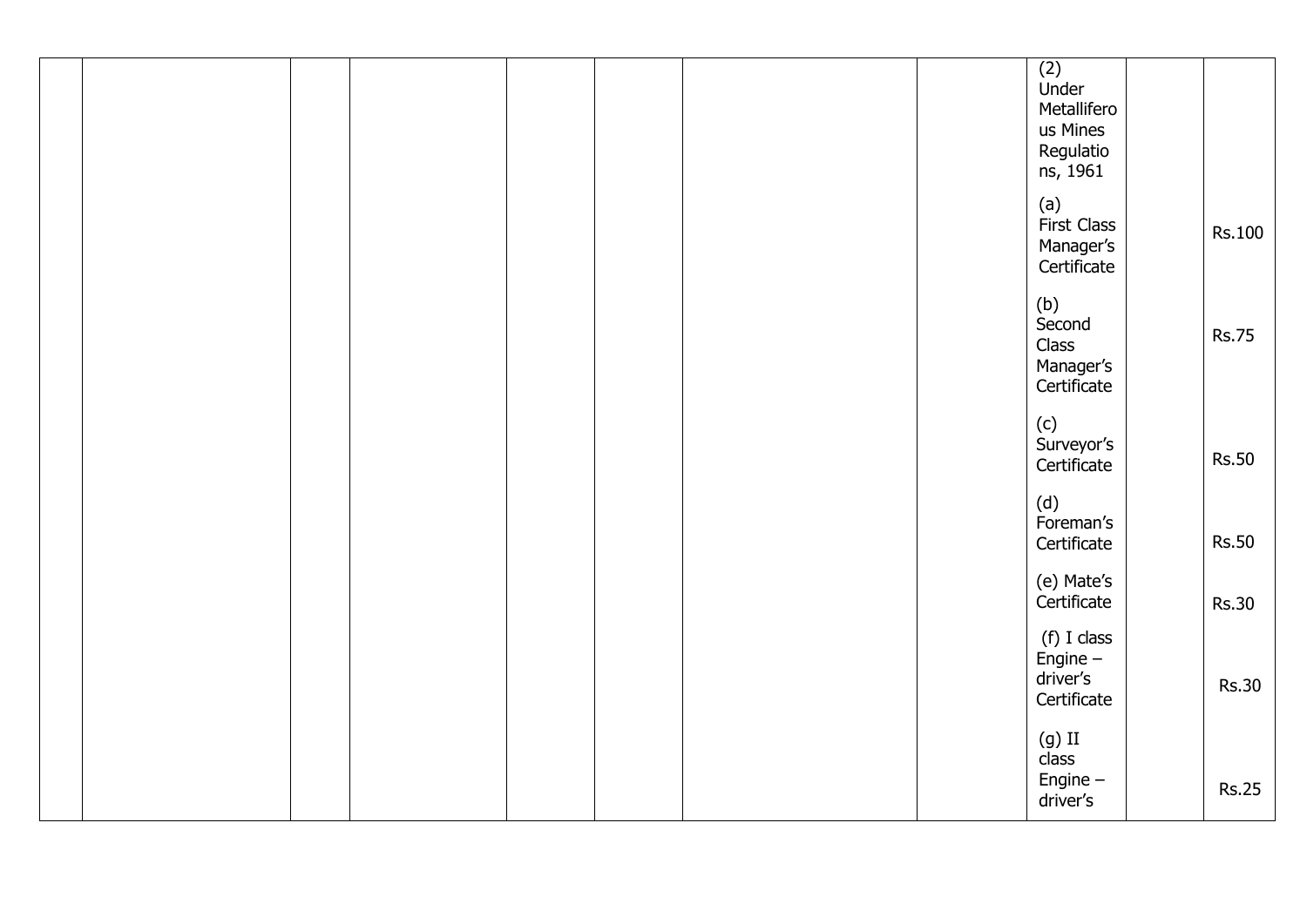|  |  |  |  | $(2)$<br>Under<br>Metallifero<br>us Mines<br>Regulatio<br>ns, 1961 |               |
|--|--|--|--|--------------------------------------------------------------------|---------------|
|  |  |  |  | (a)<br><b>First Class</b><br>Manager's<br>Certificate              | <b>Rs.100</b> |
|  |  |  |  | (b)<br>Second<br>Class<br>Manager's<br>Certificate                 | <b>Rs.75</b>  |
|  |  |  |  | (c)<br>Surveyor's<br>Certificate                                   | <b>Rs.50</b>  |
|  |  |  |  | (d)<br>Foreman's<br>Certificate                                    | <b>Rs.50</b>  |
|  |  |  |  | (e) Mate's<br>Certificate                                          | <b>Rs.30</b>  |
|  |  |  |  | (f) I class<br>Engine $-$<br>driver's<br>Certificate               | <b>Rs.30</b>  |
|  |  |  |  | $(g)$ II<br>class<br>Engine $-$<br>driver's                        | <b>Rs.25</b>  |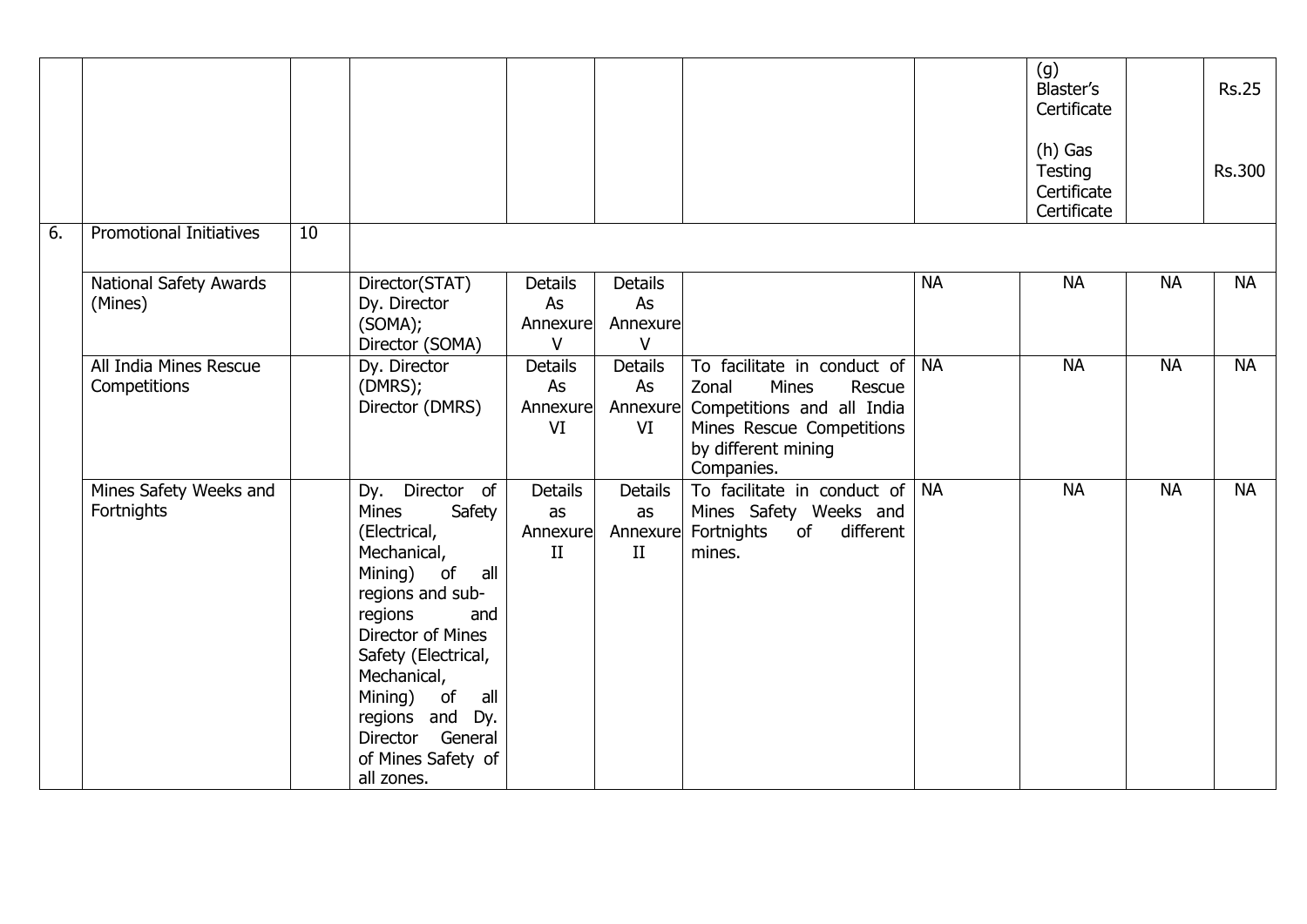|    |                                        |                 |                                                                                                                                                                                                                                                                                                |                                        |                                       |                                                                                                                                                                     |           | (g)<br><b>Blaster's</b><br>Certificate<br>$(h)$ Gas<br>Testing<br>Certificate<br>Certificate |           | <b>Rs.25</b><br><b>Rs.300</b> |
|----|----------------------------------------|-----------------|------------------------------------------------------------------------------------------------------------------------------------------------------------------------------------------------------------------------------------------------------------------------------------------------|----------------------------------------|---------------------------------------|---------------------------------------------------------------------------------------------------------------------------------------------------------------------|-----------|----------------------------------------------------------------------------------------------|-----------|-------------------------------|
| 6. | <b>Promotional Initiatives</b>         | $\overline{10}$ |                                                                                                                                                                                                                                                                                                |                                        |                                       |                                                                                                                                                                     |           |                                                                                              |           |                               |
|    | National Safety Awards<br>(Mines)      |                 | Director(STAT)<br>Dy. Director<br>(SOMA);<br>Director (SOMA)                                                                                                                                                                                                                                   | <b>Details</b><br>As<br>Annexure<br>V  | <b>Details</b><br>As<br>Annexure<br>V |                                                                                                                                                                     | <b>NA</b> | <b>NA</b>                                                                                    | <b>NA</b> | <b>NA</b>                     |
|    | All India Mines Rescue<br>Competitions |                 | Dy. Director<br>(DMRS);<br>Director (DMRS)                                                                                                                                                                                                                                                     | <b>Details</b><br>As<br>Annexure<br>VI | <b>Details</b><br>As<br>VI            | To facilitate in conduct of NA<br>Zonal<br>Mines<br>Rescue<br>Annexure Competitions and all India<br>Mines Rescue Competitions<br>by different mining<br>Companies. |           | <b>NA</b>                                                                                    | <b>NA</b> | <b>NA</b>                     |
|    | Mines Safety Weeks and<br>Fortnights   |                 | Director of<br>Dy.<br><b>Mines</b><br>Safety<br>(Electrical,<br>Mechanical,<br>Mining) of<br>all<br>regions and sub-<br>regions<br>and<br>Director of Mines<br>Safety (Electrical,<br>Mechanical,<br>Mining) of all<br>regions and Dy.<br>Director General<br>of Mines Safety of<br>all zones. | <b>Details</b><br>as<br>Annexure<br>II | <b>Details</b><br>as<br>II            | To facilitate in conduct of $ NA $<br>Mines Safety Weeks and<br>Annexure Fortnights<br>of different<br>mines.                                                       |           | <b>NA</b>                                                                                    | <b>NA</b> | <b>NA</b>                     |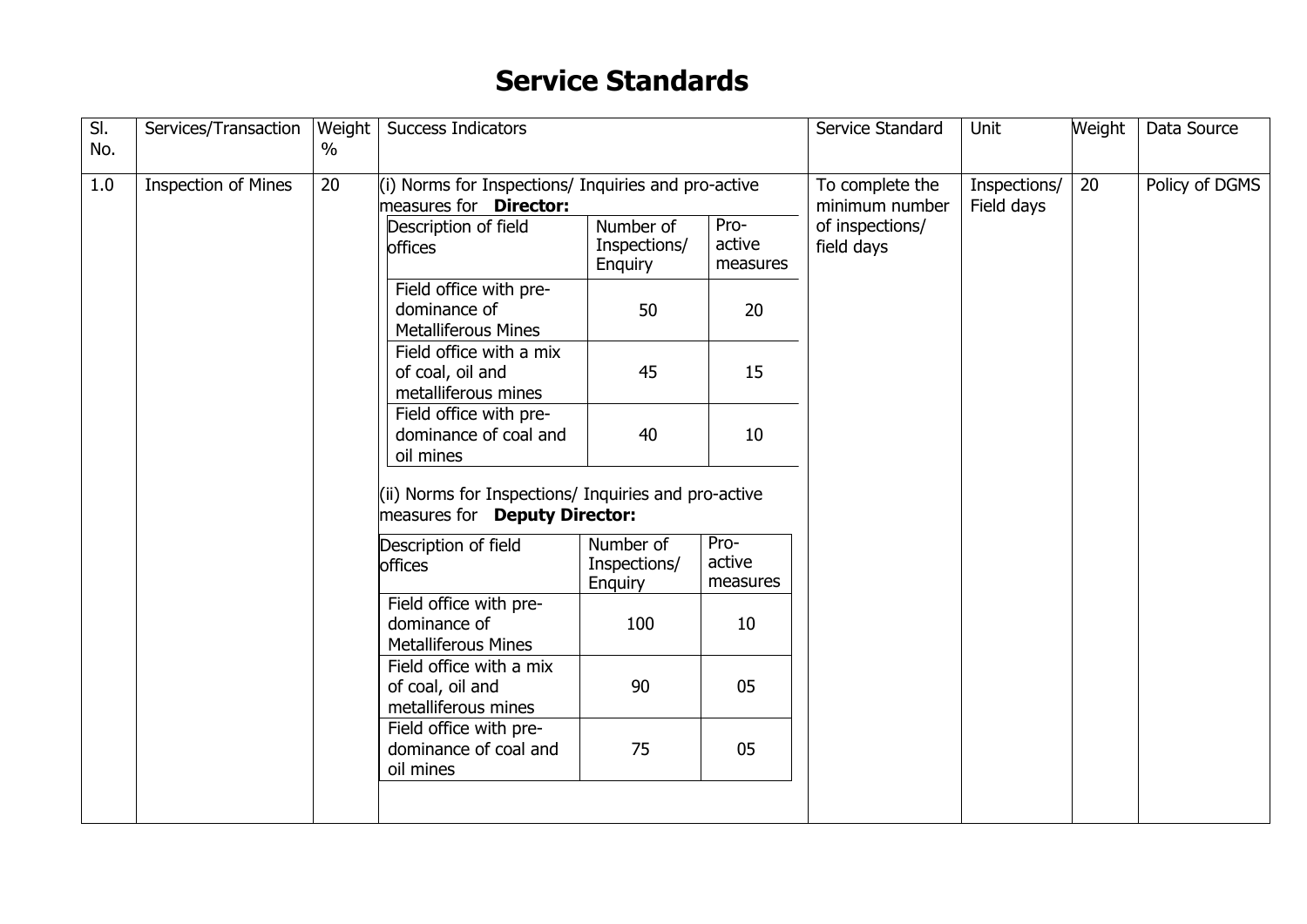### **Service Standards**

|     | Services/Transaction       | Weight        | <b>Success Indicators</b>                                                             |                                      |                            | Service Standard                  | Unit                       | Weight | Data Source    |
|-----|----------------------------|---------------|---------------------------------------------------------------------------------------|--------------------------------------|----------------------------|-----------------------------------|----------------------------|--------|----------------|
| No. |                            | $\frac{0}{0}$ |                                                                                       |                                      |                            |                                   |                            |        |                |
| 1.0 | <b>Inspection of Mines</b> | 20            | (i) Norms for Inspections/ Inquiries and pro-active<br>measures for <b>Director:</b>  |                                      |                            | To complete the<br>minimum number | Inspections/<br>Field days | 20     | Policy of DGMS |
|     |                            |               | Description of field<br>offices                                                       | Number of<br>Inspections/<br>Enquiry | Pro-<br>active<br>measures | of inspections/<br>field days     |                            |        |                |
|     |                            |               | Field office with pre-<br>dominance of<br><b>Metalliferous Mines</b>                  | 50                                   | 20                         |                                   |                            |        |                |
|     |                            |               | Field office with a mix<br>of coal, oil and<br>metalliferous mines                    | 45                                   | 15                         |                                   |                            |        |                |
|     |                            |               | Field office with pre-<br>dominance of coal and<br>oil mines                          | 40                                   | 10                         |                                   |                            |        |                |
|     |                            |               | (ii) Norms for Inspections/ Inquiries and pro-active<br>measures for Deputy Director: |                                      |                            |                                   |                            |        |                |
|     |                            |               | Description of field<br>offices                                                       | Number of<br>Inspections/<br>Enquiry | Pro-<br>active<br>measures |                                   |                            |        |                |
|     |                            |               | Field office with pre-<br>dominance of<br><b>Metalliferous Mines</b>                  | 100                                  | 10                         |                                   |                            |        |                |
|     |                            |               | Field office with a mix<br>of coal, oil and<br>metalliferous mines                    | 90                                   | 05                         |                                   |                            |        |                |
|     |                            |               | Field office with pre-<br>dominance of coal and<br>oil mines                          | 75                                   | 05                         |                                   |                            |        |                |
|     |                            |               |                                                                                       |                                      |                            |                                   |                            |        |                |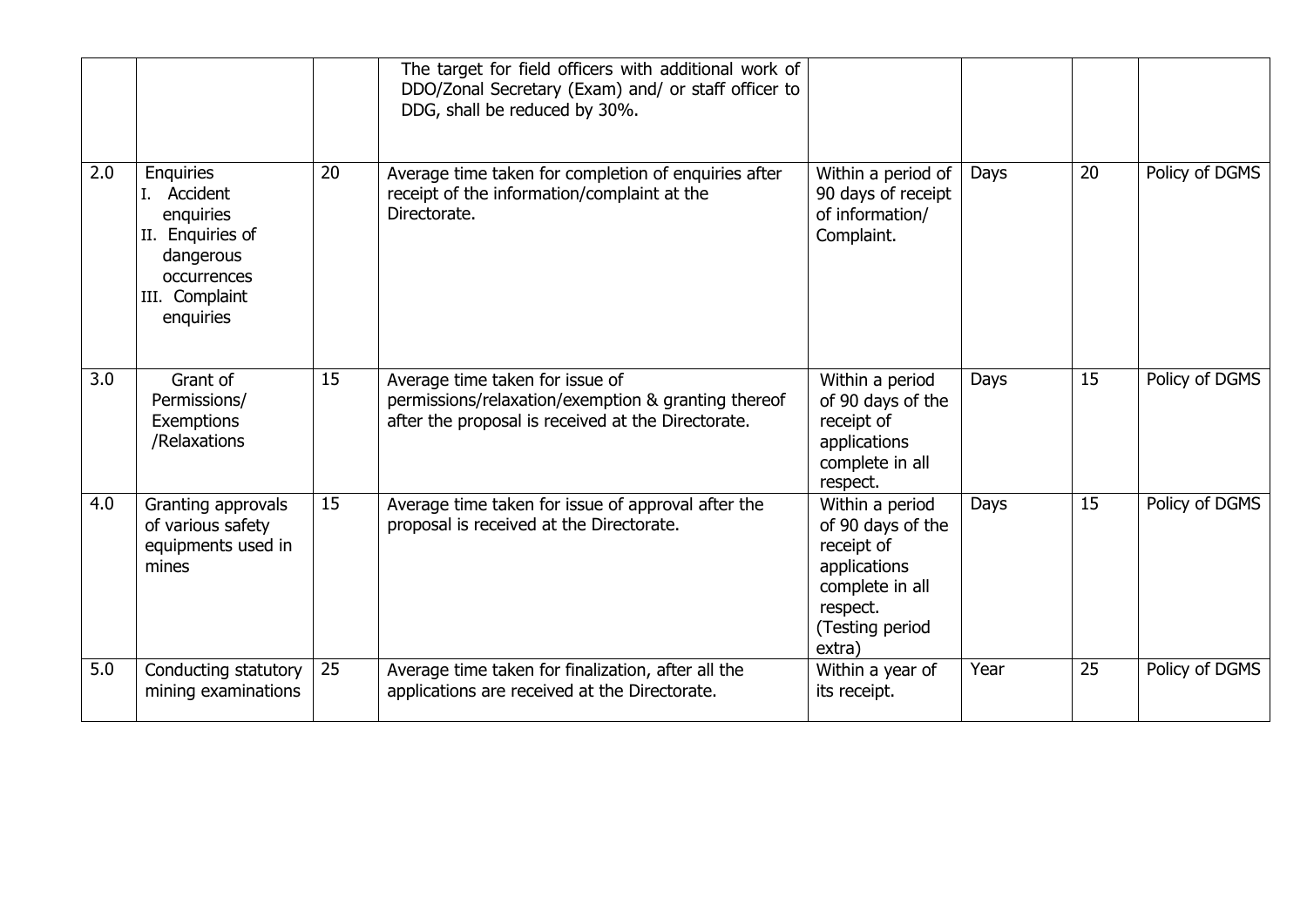|                  |                                                                                                                             |                 | The target for field officers with additional work of<br>DDO/Zonal Secretary (Exam) and/ or staff officer to<br>DDG, shall be reduced by 30%. |                                                                                                                                |      |    |                |
|------------------|-----------------------------------------------------------------------------------------------------------------------------|-----------------|-----------------------------------------------------------------------------------------------------------------------------------------------|--------------------------------------------------------------------------------------------------------------------------------|------|----|----------------|
| 2.0              | <b>Enquiries</b><br>I. Accident<br>enquiries<br>II. Enquiries of<br>dangerous<br>occurrences<br>III. Complaint<br>enquiries | 20              | Average time taken for completion of enquiries after<br>receipt of the information/complaint at the<br>Directorate.                           | Within a period of<br>90 days of receipt<br>of information/<br>Complaint.                                                      | Days | 20 | Policy of DGMS |
| $\overline{3.0}$ | Grant of<br>Permissions/<br>Exemptions<br>/Relaxations                                                                      | 15              | Average time taken for issue of<br>permissions/relaxation/exemption & granting thereof<br>after the proposal is received at the Directorate.  | Within a period<br>of 90 days of the<br>receipt of<br>applications<br>complete in all<br>respect.                              | Days | 15 | Policy of DGMS |
| 4.0              | Granting approvals<br>of various safety<br>equipments used in<br>mines                                                      | 15              | Average time taken for issue of approval after the<br>proposal is received at the Directorate.                                                | Within a period<br>of 90 days of the<br>receipt of<br>applications<br>complete in all<br>respect.<br>(Testing period<br>extra) | Days | 15 | Policy of DGMS |
| 5.0              | Conducting statutory<br>mining examinations                                                                                 | $\overline{25}$ | Average time taken for finalization, after all the<br>applications are received at the Directorate.                                           | Within a year of<br>its receipt.                                                                                               | Year | 25 | Policy of DGMS |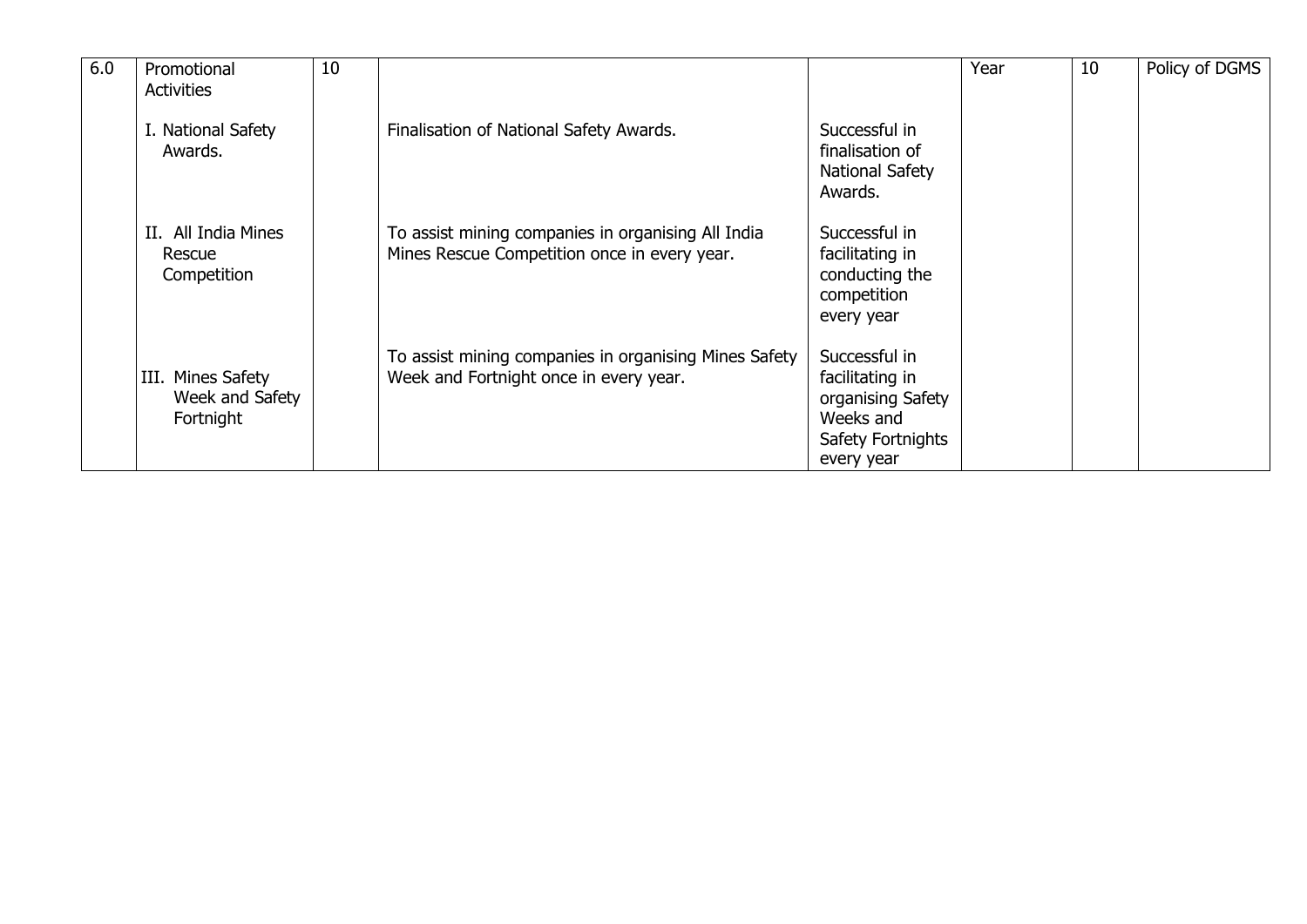| 6.0 | Promotional                                       | 10 |                                                                                                    |                                                                                                       | Year | 10 | Policy of DGMS |
|-----|---------------------------------------------------|----|----------------------------------------------------------------------------------------------------|-------------------------------------------------------------------------------------------------------|------|----|----------------|
|     | <b>Activities</b>                                 |    |                                                                                                    |                                                                                                       |      |    |                |
|     | I. National Safety<br>Awards.                     |    | Finalisation of National Safety Awards.                                                            | Successful in<br>finalisation of<br>National Safety<br>Awards.                                        |      |    |                |
|     | II. All India Mines<br>Rescue<br>Competition      |    | To assist mining companies in organising All India<br>Mines Rescue Competition once in every year. | Successful in<br>facilitating in<br>conducting the<br>competition<br>every year                       |      |    |                |
|     | III. Mines Safety<br>Week and Safety<br>Fortnight |    | To assist mining companies in organising Mines Safety<br>Week and Fortnight once in every year.    | Successful in<br>facilitating in<br>organising Safety<br>Weeks and<br>Safety Fortnights<br>every year |      |    |                |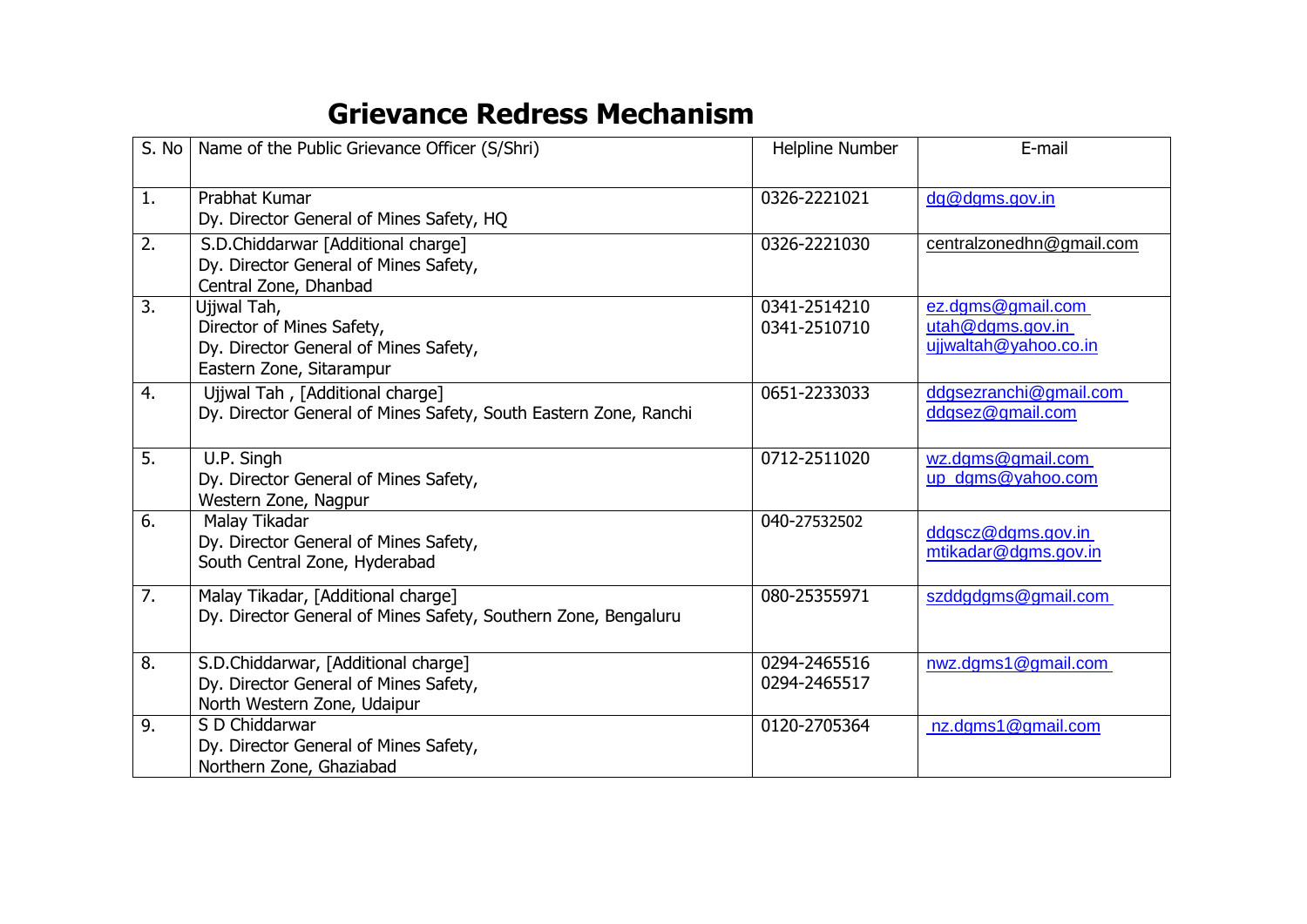### **Grievance Redress Mechanism**

| S. No          | Name of the Public Grievance Officer (S/Shri)                                                                 | Helpline Number              | E-mail                                                         |
|----------------|---------------------------------------------------------------------------------------------------------------|------------------------------|----------------------------------------------------------------|
| $\mathbf{1}$ . | Prabhat Kumar<br>Dy. Director General of Mines Safety, HQ                                                     | 0326-2221021                 | dg@dgms.gov.in                                                 |
| 2.             | S.D.Chiddarwar [Additional charge]<br>Dy. Director General of Mines Safety,<br>Central Zone, Dhanbad          | 0326-2221030                 | centralzonedhn@gmail.com                                       |
| 3.             | Ujjwal Tah,<br>Director of Mines Safety,<br>Dy. Director General of Mines Safety,<br>Eastern Zone, Sitarampur | 0341-2514210<br>0341-2510710 | ez.dgms@gmail.com<br>utah@dams.gov.in<br>ujjwaltah@yahoo.co.in |
| 4.             | Ujjwal Tah, [Additional charge]<br>Dy. Director General of Mines Safety, South Eastern Zone, Ranchi           | 0651-2233033                 | ddgsezranchi@gmail.com<br>ddgsez@gmail.com                     |
| 5.             | U.P. Singh<br>Dy. Director General of Mines Safety,<br>Western Zone, Nagpur                                   | 0712-2511020                 | wz.dgms@gmail.com<br>up dgms@yahoo.com                         |
| 6.             | Malay Tikadar<br>Dy. Director General of Mines Safety,<br>South Central Zone, Hyderabad                       | 040-27532502                 | ddgscz@dgms.gov.in<br>mtikadar@dgms.gov.in                     |
| 7.             | Malay Tikadar, [Additional charge]<br>Dy. Director General of Mines Safety, Southern Zone, Bengaluru          | 080-25355971                 | szddgdgms@gmail.com                                            |
| 8.             | S.D.Chiddarwar, [Additional charge]<br>Dy. Director General of Mines Safety,<br>North Western Zone, Udaipur   | 0294-2465516<br>0294-2465517 | nwz.dgms1@gmail.com                                            |
| 9.             | S D Chiddarwar<br>Dy. Director General of Mines Safety,<br>Northern Zone, Ghaziabad                           | 0120-2705364                 | nz.dgms1@gmail.com                                             |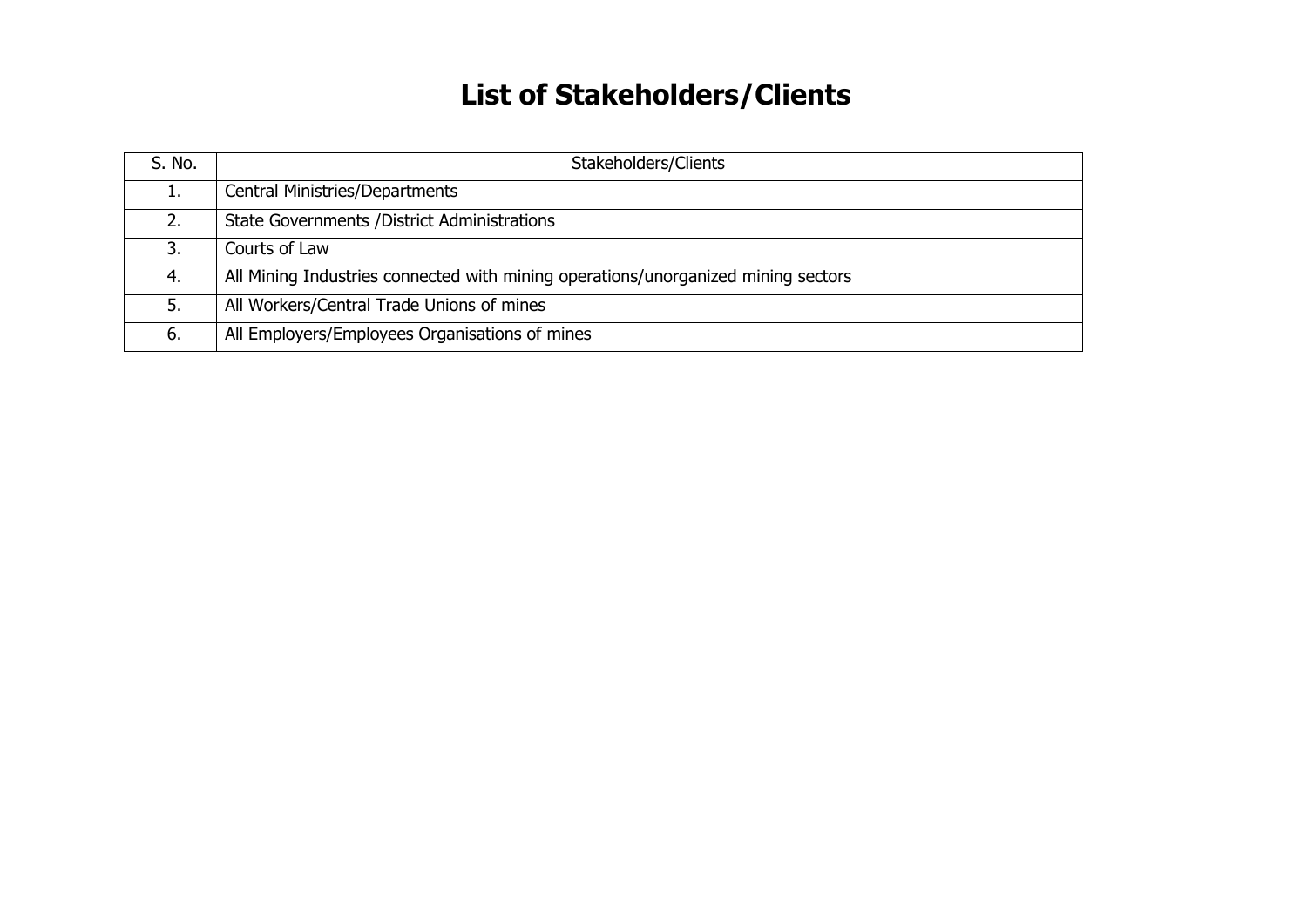# **List of Stakeholders/Clients**

| S. No. | Stakeholders/Clients                                                              |
|--------|-----------------------------------------------------------------------------------|
|        | <b>Central Ministries/Departments</b>                                             |
|        | <b>State Governments / District Administrations</b>                               |
| 3.     | Courts of Law                                                                     |
| 4.     | All Mining Industries connected with mining operations/unorganized mining sectors |
| 5.     | All Workers/Central Trade Unions of mines                                         |
| 6.     | All Employers/Employees Organisations of mines                                    |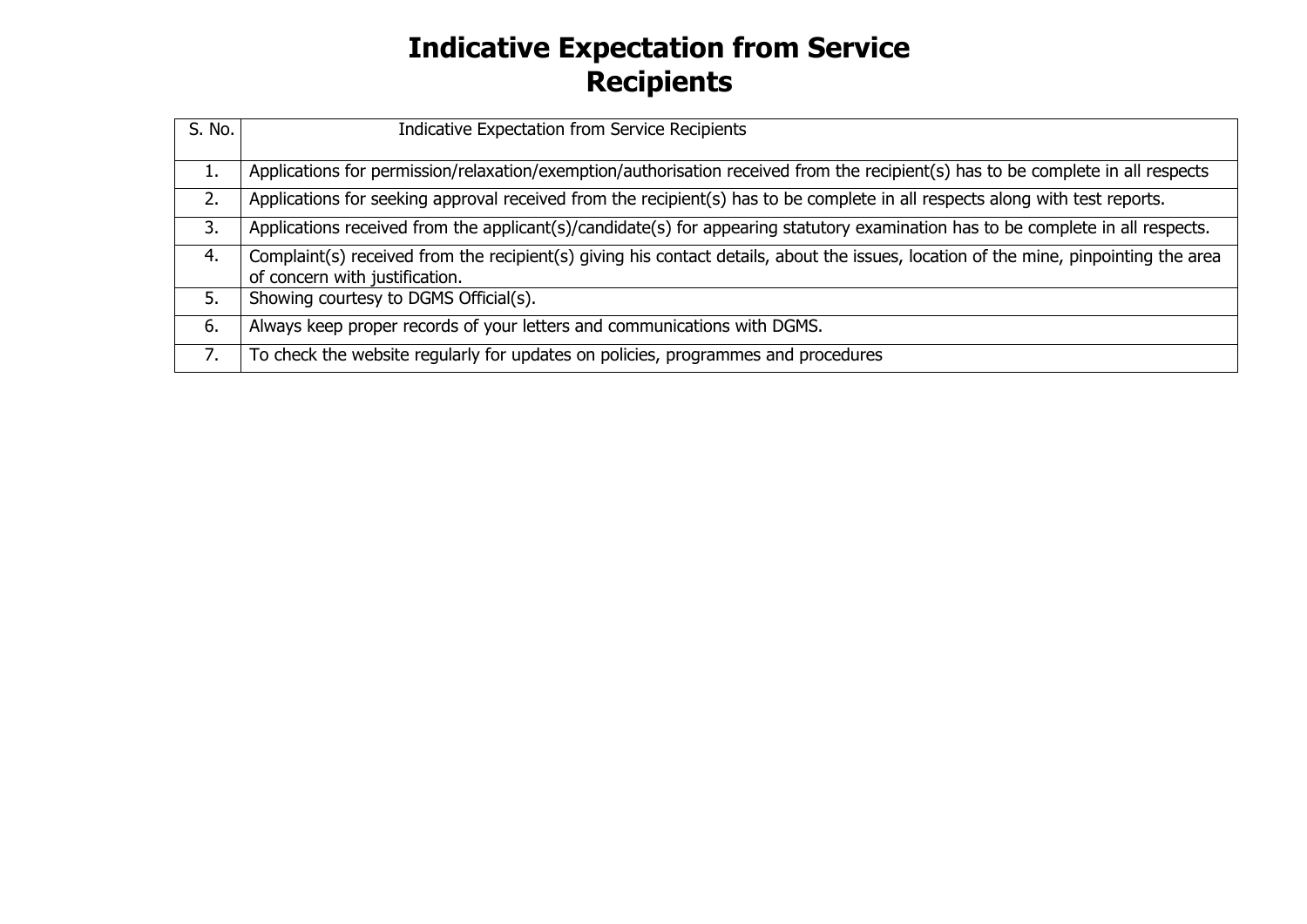## **Indicative Expectation from Service Recipients**

| S. No. | Indicative Expectation from Service Recipients                                                                                       |
|--------|--------------------------------------------------------------------------------------------------------------------------------------|
|        |                                                                                                                                      |
| τ.     | Applications for permission/relaxation/exemption/authorisation received from the recipient(s) has to be complete in all respects     |
| 2.     | Applications for seeking approval received from the recipient(s) has to be complete in all respects along with test reports.         |
| 3.     | Applications received from the applicant(s)/candidate(s) for appearing statutory examination has to be complete in all respects.     |
| 4.     | Complaint(s) received from the recipient(s) giving his contact details, about the issues, location of the mine, pinpointing the area |
|        | of concern with justification.                                                                                                       |
| 5.     | Showing courtesy to DGMS Official(s).                                                                                                |
| 6.     | Always keep proper records of your letters and communications with DGMS.                                                             |
|        | To check the website regularly for updates on policies, programmes and procedures                                                    |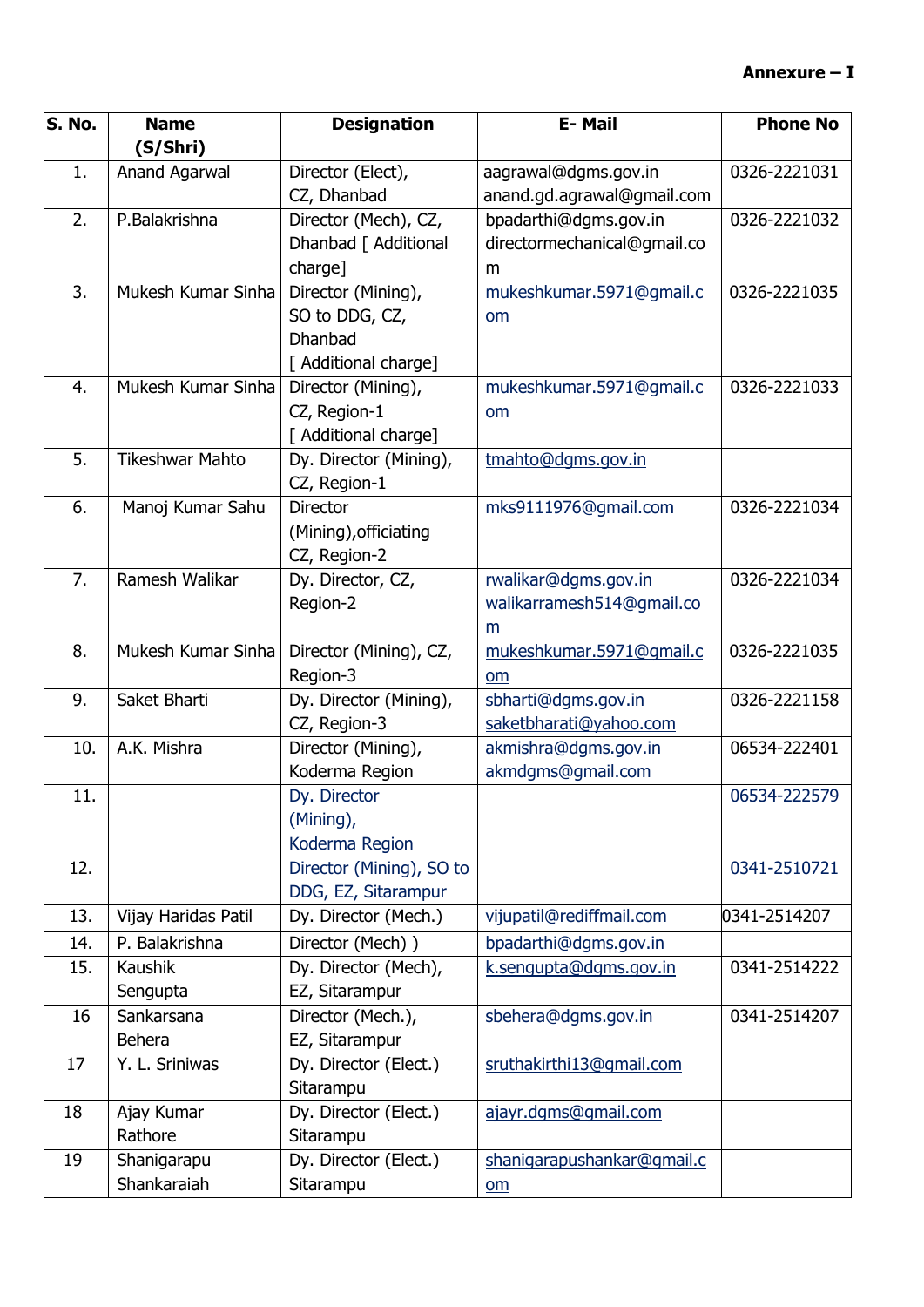| S. No. | <b>Name</b>            | <b>Designation</b>                | E-Mail                      | <b>Phone No</b> |
|--------|------------------------|-----------------------------------|-----------------------------|-----------------|
|        | (S/Shri)               |                                   |                             |                 |
| 1.     | Anand Agarwal          | Director (Elect),                 | aagrawal@dgms.gov.in        | 0326-2221031    |
|        |                        | CZ, Dhanbad                       | anand.gd.agrawal@gmail.com  |                 |
| 2.     | P.Balakrishna          | Director (Mech), CZ,              | bpadarthi@dgms.gov.in       | 0326-2221032    |
|        |                        | Dhanbad [ Additional              | directormechanical@gmail.co |                 |
|        |                        | charge]                           | m                           |                 |
| 3.     | Mukesh Kumar Sinha     | Director (Mining),                | mukeshkumar.5971@gmail.c    | 0326-2221035    |
|        |                        | SO to DDG, CZ,                    | om                          |                 |
|        |                        | <b>Dhanbad</b>                    |                             |                 |
|        |                        | [ Additional charge]              |                             |                 |
| 4.     | Mukesh Kumar Sinha     | Director (Mining),                | mukeshkumar.5971@gmail.c    | 0326-2221033    |
|        |                        | CZ, Region-1                      | om                          |                 |
|        |                        | [ Additional charge]              |                             |                 |
| 5.     | <b>Tikeshwar Mahto</b> | Dy. Director (Mining),            | tmahto@dgms.gov.in          |                 |
|        |                        | CZ, Region-1                      |                             |                 |
| 6.     | Manoj Kumar Sahu       | Director                          | mks9111976@gmail.com        | 0326-2221034    |
|        |                        | (Mining), officiating             |                             |                 |
| 7.     | Ramesh Walikar         | CZ, Region-2<br>Dy. Director, CZ, | rwalikar@dgms.gov.in        | 0326-2221034    |
|        |                        | Region-2                          | walikarramesh514@gmail.co   |                 |
|        |                        |                                   | m                           |                 |
| 8.     | Mukesh Kumar Sinha     | Director (Mining), CZ,            | mukeshkumar.5971@gmail.c    | 0326-2221035    |
|        |                        | Region-3                          | om                          |                 |
| 9.     | Saket Bharti           | Dy. Director (Mining),            | sbharti@dgms.gov.in         | 0326-2221158    |
|        |                        | CZ, Region-3                      | saketbharati@yahoo.com      |                 |
| 10.    | A.K. Mishra            | Director (Mining),                | akmishra@dgms.gov.in        | 06534-222401    |
|        |                        | Koderma Region                    | akmdgms@gmail.com           |                 |
| 11.    |                        | Dy. Director                      |                             | 06534-222579    |
|        |                        | (Mining),                         |                             |                 |
|        |                        | Koderma Region                    |                             |                 |
| 12.    |                        | Director (Mining), SO to          |                             | 0341-2510721    |
|        |                        | DDG, EZ, Sitarampur               |                             |                 |
| 13.    | Vijay Haridas Patil    | Dy. Director (Mech.)              | vijupatil@rediffmail.com    | 0341-2514207    |
| 14.    | P. Balakrishna         | Director (Mech))                  | bpadarthi@dgms.gov.in       |                 |
| 15.    | <b>Kaushik</b>         | Dy. Director (Mech),              | k.sengupta@dqms.gov.in      | 0341-2514222    |
|        | Sengupta               | EZ, Sitarampur                    |                             |                 |
| 16     | Sankarsana             | Director (Mech.),                 | sbehera@dgms.gov.in         | 0341-2514207    |
|        | <b>Behera</b>          | EZ, Sitarampur                    |                             |                 |
| 17     | Y. L. Sriniwas         | Dy. Director (Elect.)             | sruthakirthi13@gmail.com    |                 |
|        |                        | Sitarampu                         |                             |                 |
| 18     | Ajay Kumar             | Dy. Director (Elect.)             | ajayr.dgms@gmail.com        |                 |
|        | Rathore                | Sitarampu                         |                             |                 |
| 19     | Shanigarapu            | Dy. Director (Elect.)             | shanigarapushankar@gmail.c  |                 |
|        | Shankaraiah            | Sitarampu                         | $om$                        |                 |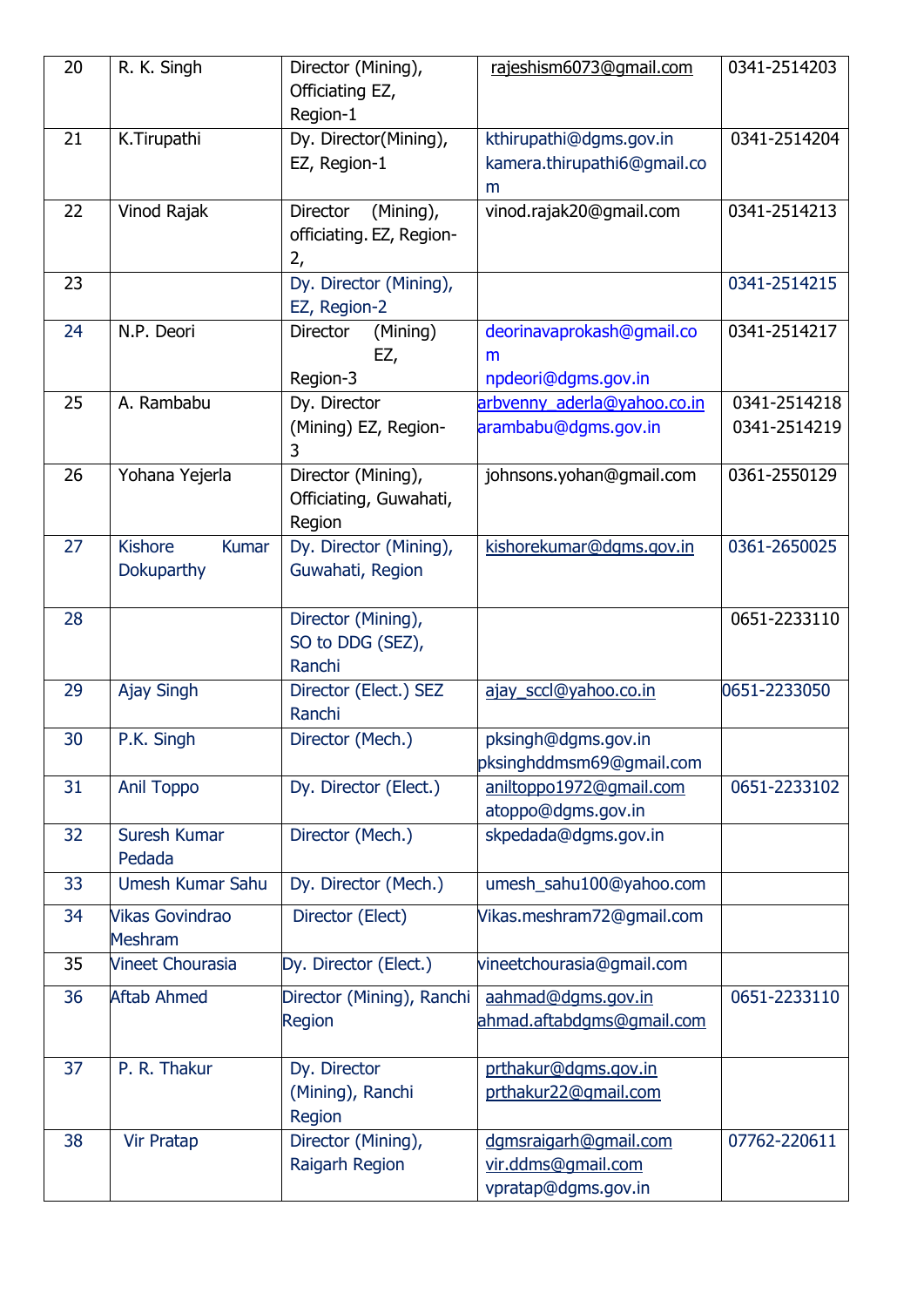| 20 | R. K. Singh                    | Director (Mining),             | rajeshism6073@gmail.com     | 0341-2514203 |
|----|--------------------------------|--------------------------------|-----------------------------|--------------|
|    |                                | Officiating EZ,                |                             |              |
|    |                                | Region-1                       |                             |              |
| 21 | K.Tirupathi                    | Dy. Director(Mining),          | kthirupathi@dgms.gov.in     | 0341-2514204 |
|    |                                | EZ, Region-1                   | kamera.thirupathi6@gmail.co |              |
|    |                                |                                | m                           |              |
| 22 | Vinod Rajak                    | Director<br>(Mining),          | vinod.rajak20@gmail.com     | 0341-2514213 |
|    |                                | officiating. EZ, Region-<br>2, |                             |              |
| 23 |                                | Dy. Director (Mining),         |                             | 0341-2514215 |
|    |                                | EZ, Region-2                   |                             |              |
| 24 | N.P. Deori                     | (Mining)<br>Director           | deorinavaprokash@gmail.co   | 0341-2514217 |
|    |                                | EZ,                            | m                           |              |
|    |                                | Region-3                       | npdeori@dgms.gov.in         |              |
| 25 | A. Rambabu                     | Dy. Director                   | arbvenny_aderla@yahoo.co.in | 0341-2514218 |
|    |                                | (Mining) EZ, Region-           | arambabu@dgms.gov.in        | 0341-2514219 |
|    |                                | 3                              |                             |              |
| 26 | Yohana Yejerla                 | Director (Mining),             | johnsons.yohan@gmail.com    | 0361-2550129 |
|    |                                | Officiating, Guwahati,         |                             |              |
|    |                                | Region                         |                             |              |
| 27 | <b>Kishore</b><br><b>Kumar</b> | Dy. Director (Mining),         | kishorekumar@dgms.gov.in    | 0361-2650025 |
|    | Dokuparthy                     | Guwahati, Region               |                             |              |
|    |                                |                                |                             |              |
| 28 |                                | Director (Mining),             |                             | 0651-2233110 |
|    |                                | SO to DDG (SEZ),               |                             |              |
|    |                                | Ranchi                         |                             |              |
| 29 | Ajay Singh                     | Director (Elect.) SEZ          | ajay sccl@yahoo.co.in       | 0651-2233050 |
|    |                                | Ranchi                         |                             |              |
| 30 | P.K. Singh                     | Director (Mech.)               | pksingh@dgms.gov.in         |              |
|    |                                |                                | pksinghddmsm69@gmail.com    |              |
| 31 | <b>Anil Toppo</b>              | Dy. Director (Elect.)          | aniltoppo1972@gmail.com     | 0651-2233102 |
|    |                                |                                | atoppo@dgms.gov.in          |              |
| 32 | Suresh Kumar<br>Pedada         | Director (Mech.)               | skpedada@dgms.gov.in        |              |
| 33 | Umesh Kumar Sahu               | Dy. Director (Mech.)           | umesh_sahu100@yahoo.com     |              |
| 34 | <b>Vikas Govindrao</b>         | Director (Elect)               | Vikas.meshram72@gmail.com   |              |
|    | <b>Meshram</b>                 |                                |                             |              |
| 35 | <b>Vineet Chourasia</b>        | Dy. Director (Elect.)          | vineetchourasia@gmail.com   |              |
| 36 | <b>Aftab Ahmed</b>             | Director (Mining), Ranchi      | aahmad@dqms.gov.in          | 0651-2233110 |
|    |                                | Region                         | ahmad.aftabdgms@gmail.com   |              |
|    |                                |                                |                             |              |
| 37 | P. R. Thakur                   | Dy. Director                   | prthakur@dgms.gov.in        |              |
|    |                                | (Mining), Ranchi               | prthakur22@qmail.com        |              |
|    |                                | Region                         |                             |              |
| 38 | <b>Vir Pratap</b>              | Director (Mining),             | dgmsraigarh@gmail.com       | 07762-220611 |
|    |                                | Raigarh Region                 | vir.ddms@gmail.com          |              |
|    |                                |                                | vpratap@dgms.gov.in         |              |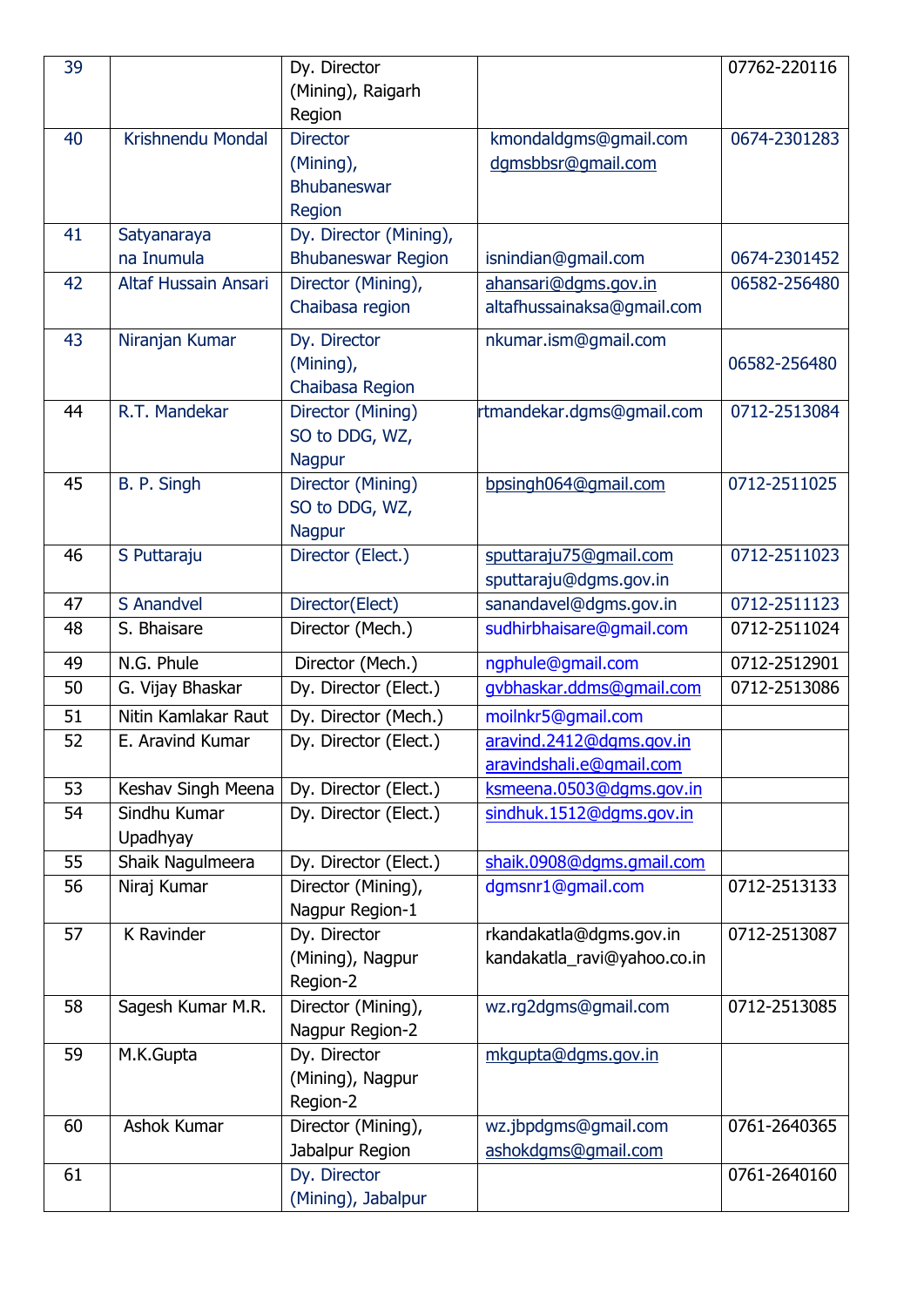| 39 |                      | Dy. Director                          |                             | 07762-220116 |
|----|----------------------|---------------------------------------|-----------------------------|--------------|
|    |                      | (Mining), Raigarh                     |                             |              |
|    |                      | Region                                |                             |              |
| 40 | Krishnendu Mondal    | <b>Director</b>                       | kmondaldgms@gmail.com       | 0674-2301283 |
|    |                      | (Mining),                             | dqmsbbsr@qmail.com          |              |
|    |                      | Bhubaneswar                           |                             |              |
|    |                      | Region                                |                             |              |
| 41 | Satyanaraya          | Dy. Director (Mining),                |                             |              |
|    | na Inumula           | <b>Bhubaneswar Region</b>             | isnindian@gmail.com         | 0674-2301452 |
| 42 | Altaf Hussain Ansari | Director (Mining),                    | ahansari@dgms.gov.in        | 06582-256480 |
|    |                      | Chaibasa region                       | altafhussainaksa@gmail.com  |              |
| 43 | Niranjan Kumar       | Dy. Director                          | nkumar.ism@gmail.com        |              |
|    |                      | (Mining),                             |                             | 06582-256480 |
|    |                      | Chaibasa Region                       |                             |              |
| 44 | R.T. Mandekar        | Director (Mining)                     | rtmandekar.dqms@qmail.com   | 0712-2513084 |
|    |                      | SO to DDG, WZ,                        |                             |              |
|    |                      | <b>Nagpur</b>                         |                             |              |
| 45 | B. P. Singh          | Director (Mining)                     | bpsingh064@gmail.com        | 0712-2511025 |
|    |                      | SO to DDG, WZ,                        |                             |              |
|    |                      | <b>Nagpur</b>                         |                             |              |
| 46 | S Puttaraju          | Director (Elect.)                     | sputtaraju75@gmail.com      | 0712-2511023 |
|    |                      |                                       | sputtaraju@dgms.gov.in      |              |
| 47 | S Anandvel           | Director(Elect)                       | sanandavel@dgms.gov.in      | 0712-2511123 |
| 48 | S. Bhaisare          | Director (Mech.)                      | sudhirbhaisare@gmail.com    | 0712-2511024 |
| 49 | N.G. Phule           | Director (Mech.)                      | ngphule@gmail.com           | 0712-2512901 |
| 50 | G. Vijay Bhaskar     | Dy. Director (Elect.)                 | qvbhaskar.ddms@qmail.com    | 0712-2513086 |
| 51 | Nitin Kamlakar Raut  | Dy. Director (Mech.)                  | moilnkr5@gmail.com          |              |
| 52 | E. Aravind Kumar     | Dy. Director (Elect.)                 | aravind.2412@dgms.gov.in    |              |
|    |                      |                                       | aravindshali.e@qmail.com    |              |
| 53 | Keshav Singh Meena   | Dy. Director (Elect.)                 | ksmeena.0503@dqms.gov.in    |              |
| 54 | Sindhu Kumar         | Dy. Director (Elect.)                 | sindhuk.1512@dqms.gov.in    |              |
|    | Upadhyay             |                                       |                             |              |
| 55 | Shaik Nagulmeera     | Dy. Director (Elect.)                 | shaik.0908@dgms.gmail.com   |              |
| 56 | Niraj Kumar          | Director (Mining),<br>Nagpur Region-1 | dgmsnr1@gmail.com           | 0712-2513133 |
| 57 | K Ravinder           | Dy. Director                          | rkandakatla@dgms.gov.in     | 0712-2513087 |
|    |                      | (Mining), Nagpur                      | kandakatla_ravi@yahoo.co.in |              |
|    |                      | Region-2                              |                             |              |
| 58 | Sagesh Kumar M.R.    | Director (Mining),                    | wz.rg2dgms@gmail.com        | 0712-2513085 |
|    |                      | Nagpur Region-2                       |                             |              |
| 59 | M.K.Gupta            | Dy. Director                          | mkgupta@dgms.gov.in         |              |
|    |                      | (Mining), Nagpur                      |                             |              |
|    |                      | Region-2                              |                             |              |
| 60 | Ashok Kumar          | Director (Mining),                    | wz.jbpdgms@gmail.com        | 0761-2640365 |
|    |                      | Jabalpur Region                       | ashokdgms@gmail.com         |              |
| 61 |                      | Dy. Director                          |                             | 0761-2640160 |
|    |                      | (Mining), Jabalpur                    |                             |              |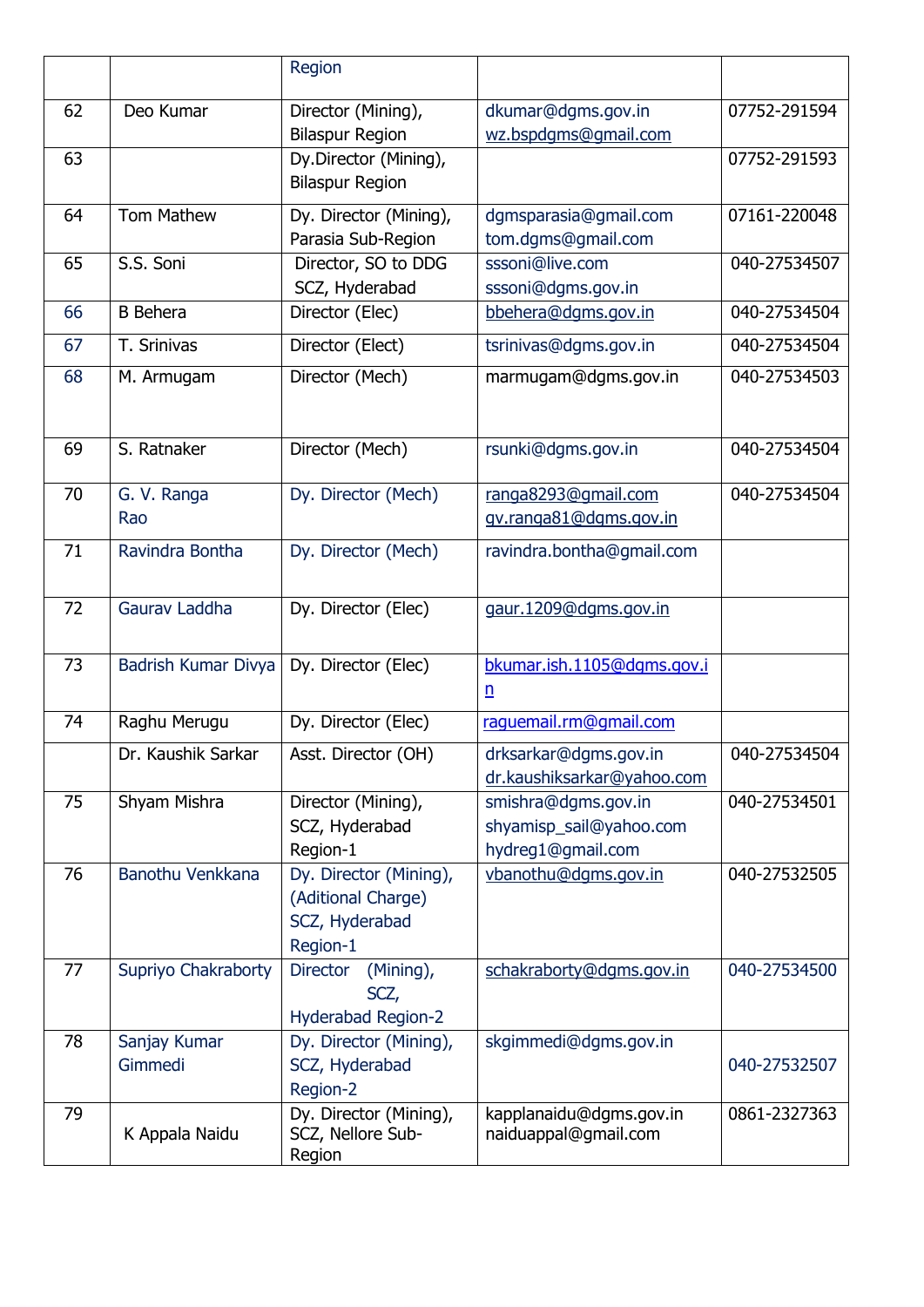|    |                         | Region                                                                     |                                                                     |              |
|----|-------------------------|----------------------------------------------------------------------------|---------------------------------------------------------------------|--------------|
| 62 | Deo Kumar               | Director (Mining),<br><b>Bilaspur Region</b>                               | dkumar@dgms.gov.in<br>wz.bspdgms@gmail.com                          | 07752-291594 |
| 63 |                         | Dy.Director (Mining),<br><b>Bilaspur Region</b>                            |                                                                     | 07752-291593 |
| 64 | <b>Tom Mathew</b>       | Dy. Director (Mining),<br>Parasia Sub-Region                               | dgmsparasia@gmail.com<br>tom.dgms@gmail.com                         | 07161-220048 |
| 65 | S.S. Soni               | Director, SO to DDG<br>SCZ, Hyderabad                                      | sssoni@live.com<br>sssoni@dgms.gov.in                               | 040-27534507 |
| 66 | <b>B</b> Behera         | Director (Elec)                                                            | bbehera@dgms.gov.in                                                 | 040-27534504 |
| 67 | T. Srinivas             | Director (Elect)                                                           | tsrinivas@dgms.gov.in                                               | 040-27534504 |
| 68 | M. Armugam              | Director (Mech)                                                            | marmugam@dgms.gov.in                                                | 040-27534503 |
| 69 | S. Ratnaker             | Director (Mech)                                                            | rsunki@dgms.gov.in                                                  | 040-27534504 |
| 70 | G. V. Ranga<br>Rao      | Dy. Director (Mech)                                                        | ranga8293@gmail.com<br>gv.ranga81@dgms.gov.in                       | 040-27534504 |
| 71 | Ravindra Bontha         | Dy. Director (Mech)                                                        | ravindra.bontha@gmail.com                                           |              |
| 72 | Gaurav Laddha           | Dy. Director (Elec)                                                        | gaur.1209@dqms.gov.in                                               |              |
| 73 | Badrish Kumar Divya     | Dy. Director (Elec)                                                        | bkumar.ish.1105@dqms.gov.i<br>n                                     |              |
| 74 | Raghu Merugu            | Dy. Director (Elec)                                                        | raquemail.rm@gmail.com                                              |              |
|    | Dr. Kaushik Sarkar      | Asst. Director (OH)                                                        | drksarkar@dgms.gov.in<br>dr.kaushiksarkar@yahoo.com                 | 040-27534504 |
| 75 | Shyam Mishra            | Director (Mining),<br>SCZ, Hyderabad<br>Region-1                           | smishra@dgms.gov.in<br>shyamisp_sail@yahoo.com<br>hydreg1@gmail.com | 040-27534501 |
| 76 | Banothu Venkkana        | Dy. Director (Mining),<br>(Aditional Charge)<br>SCZ, Hyderabad<br>Region-1 | vbanothu@dqms.gov.in                                                | 040-27532505 |
| 77 | Supriyo Chakraborty     | <b>Director</b><br>(Mining),<br>SCZ,<br><b>Hyderabad Region-2</b>          | schakraborty@dgms.gov.in                                            | 040-27534500 |
| 78 | Sanjay Kumar<br>Gimmedi | Dy. Director (Mining),<br>SCZ, Hyderabad<br>Region-2                       | skgimmedi@dgms.gov.in                                               | 040-27532507 |
| 79 | K Appala Naidu          | Dy. Director (Mining),<br>SCZ, Nellore Sub-<br>Region                      | kapplanaidu@dgms.gov.in<br>naiduappal@gmail.com                     | 0861-2327363 |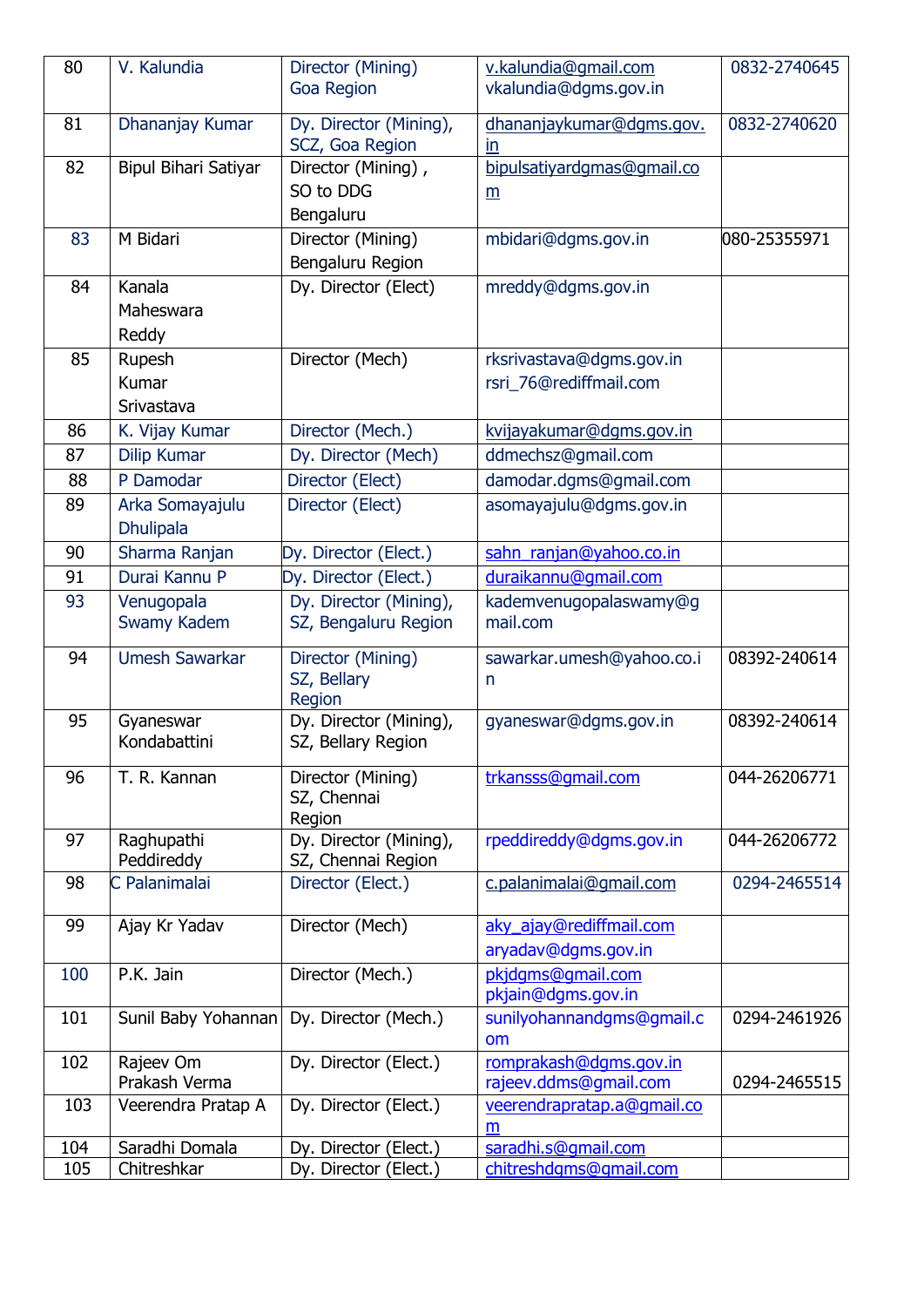| 80  | V. Kalundia                 | Director (Mining)                            | v.kalundia@gmail.com           | 0832-2740645 |
|-----|-----------------------------|----------------------------------------------|--------------------------------|--------------|
|     |                             | <b>Goa Region</b>                            | vkalundia@dgms.gov.in          |              |
|     |                             |                                              |                                |              |
| 81  | Dhananjay Kumar             | Dy. Director (Mining),<br>SCZ, Goa Region    | dhananjaykumar@dgms.gov.<br>in | 0832-2740620 |
| 82  | <b>Bipul Bihari Satiyar</b> | Director (Mining),                           | bipulsatiyardgmas@gmail.co     |              |
|     |                             | SO to DDG                                    |                                |              |
|     |                             | Bengaluru                                    | m                              |              |
| 83  | M Bidari                    |                                              |                                |              |
|     |                             | Director (Mining)                            | mbidari@dgms.gov.in            | 080-25355971 |
|     |                             | Bengaluru Region                             |                                |              |
| 84  | Kanala                      | Dy. Director (Elect)                         | mreddy@dgms.gov.in             |              |
|     | Maheswara                   |                                              |                                |              |
|     | Reddy                       |                                              |                                |              |
| 85  | Rupesh                      | Director (Mech)                              | rksrivastava@dgms.gov.in       |              |
|     | Kumar                       |                                              | rsri 76@rediffmail.com         |              |
|     | Srivastava                  |                                              |                                |              |
| 86  | K. Vijay Kumar              | Director (Mech.)                             | kvijayakumar@dqms.gov.in       |              |
| 87  | <b>Dilip Kumar</b>          | Dy. Director (Mech)                          | ddmechsz@gmail.com             |              |
| 88  | P Damodar                   | Director (Elect)                             | damodar.dgms@gmail.com         |              |
| 89  | Arka Somayajulu             | Director (Elect)                             | asomayajulu@dgms.gov.in        |              |
|     | <b>Dhulipala</b>            |                                              |                                |              |
| 90  | Sharma Ranjan               | Dy. Director (Elect.)                        | sahn_ranjan@yahoo.co.in        |              |
| 91  | Durai Kannu P               | Dy. Director (Elect.)                        | duraikannu@gmail.com           |              |
| 93  | Venugopala                  | Dy. Director (Mining),                       | kademvenugopalaswamy@g         |              |
|     | Swamy Kadem                 | SZ, Bengaluru Region                         | mail.com                       |              |
|     |                             |                                              |                                |              |
| 94  | <b>Umesh Sawarkar</b>       | Director (Mining)                            | sawarkar.umesh@yahoo.co.i      | 08392-240614 |
|     |                             | SZ, Bellary<br>Region                        | n                              |              |
| 95  | Gyaneswar                   | Dy. Director (Mining),                       | gyaneswar@dgms.gov.in          | 08392-240614 |
|     | Kondabattini                | SZ, Bellary Region                           |                                |              |
|     |                             |                                              |                                |              |
| 96  | T. R. Kannan                | Director (Mining)                            | trkansss@qmail.com             | 044-26206771 |
|     |                             | SZ, Chennai                                  |                                |              |
|     |                             | Region                                       |                                |              |
| 97  | Raghupathi<br>Peddireddy    | Dy. Director (Mining),<br>SZ, Chennai Region | rpeddireddy@dgms.gov.in        | 044-26206772 |
| 98  | C Palanimalai               | Director (Elect.)                            | c.palanimalai@gmail.com        | 0294-2465514 |
|     |                             |                                              |                                |              |
| 99  | Ajay Kr Yadav               | Director (Mech)                              | aky ajay@rediffmail.com        |              |
|     |                             |                                              | aryadav@dgms.gov.in            |              |
| 100 | P.K. Jain                   | Director (Mech.)                             | pkjdgms@gmail.com              |              |
|     |                             |                                              | pkjain@dgms.gov.in             |              |
| 101 | Sunil Baby Yohannan         | Dy. Director (Mech.)                         | sunilyohannandgms@gmail.c      | 0294-2461926 |
|     |                             |                                              | om                             |              |
| 102 | Rajeev Om                   | Dy. Director (Elect.)                        | romprakash@dqms.gov.in         |              |
|     | Prakash Verma               |                                              | rajeev.ddms@gmail.com          | 0294-2465515 |
| 103 | Veerendra Pratap A          | Dy. Director (Elect.)                        | veerendrapratap.a@gmail.co     |              |
|     |                             |                                              | m                              |              |
| 104 | Saradhi Domala              | Dy. Director (Elect.)                        | saradhi.s@qmail.com            |              |
| 105 | Chitreshkar                 | Dy. Director (Elect.)                        | chitreshdgms@gmail.com         |              |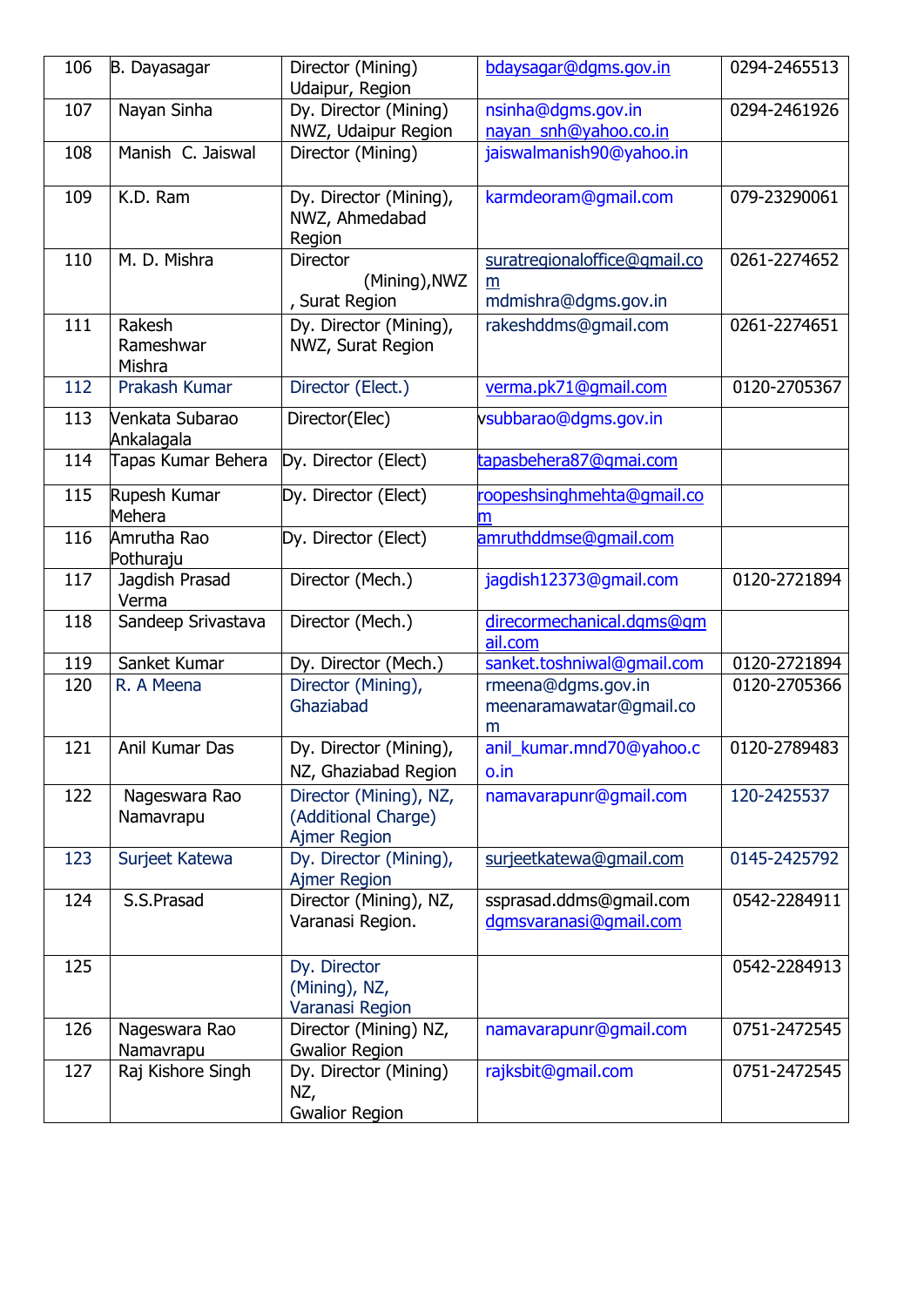| 106 | B. Dayasagar                  | Director (Mining)<br>Udaipur, Region                                 | bdaysagar@dgms.gov.in                                     | 0294-2465513 |
|-----|-------------------------------|----------------------------------------------------------------------|-----------------------------------------------------------|--------------|
| 107 | Nayan Sinha                   | Dy. Director (Mining)<br>NWZ, Udaipur Region                         | nsinha@dgms.gov.in<br>nayan_snh@yahoo.co.in               | 0294-2461926 |
| 108 | Manish C. Jaiswal             | Director (Mining)                                                    | jaiswalmanish90@yahoo.in                                  |              |
| 109 | K.D. Ram                      | Dy. Director (Mining),<br>NWZ, Ahmedabad<br>Region                   | karmdeoram@gmail.com                                      | 079-23290061 |
| 110 | M. D. Mishra                  | <b>Director</b><br>(Mining), NWZ<br>, Surat Region                   | suratregionaloffice@gmail.co<br>m<br>mdmishra@dgms.gov.in | 0261-2274652 |
| 111 | Rakesh<br>Rameshwar<br>Mishra | Dy. Director (Mining),<br>NWZ, Surat Region                          | rakeshddms@gmail.com                                      | 0261-2274651 |
| 112 | Prakash Kumar                 | Director (Elect.)                                                    | verma.pk71@gmail.com                                      | 0120-2705367 |
| 113 | Venkata Subarao<br>Ankalagala | Director(Elec)                                                       | vsubbarao@dgms.gov.in                                     |              |
| 114 | Tapas Kumar Behera            | Dy. Director (Elect)                                                 | tapasbehera87@gmai.com                                    |              |
| 115 | Rupesh Kumar<br>Mehera        | Dy. Director (Elect)                                                 | roopeshsinghmehta@gmail.co<br>m                           |              |
| 116 | Amrutha Rao<br>Pothuraju      | Dy. Director (Elect)                                                 | amruthddmse@qmail.com                                     |              |
| 117 | Jagdish Prasad<br>Verma       | Director (Mech.)                                                     | jagdish12373@gmail.com                                    | 0120-2721894 |
| 118 | Sandeep Srivastava            | Director (Mech.)                                                     | direcormechanical.dgms@gm<br>ail.com                      |              |
| 119 | Sanket Kumar                  | Dy. Director (Mech.)                                                 | sanket.toshniwal@gmail.com                                | 0120-2721894 |
| 120 | R. A Meena                    | Director (Mining),<br>Ghaziabad                                      | rmeena@dgms.gov.in<br>meenaramawatar@gmail.co<br>m        | 0120-2705366 |
| 121 | Anil Kumar Das                | Dy. Director (Mining),<br>NZ, Ghaziabad Region                       | anil_kumar.mnd70@yahoo.c<br>o.in                          | 0120-2789483 |
| 122 | Nageswara Rao<br>Namavrapu    | Director (Mining), NZ,<br>(Additional Charge)<br><b>Ajmer Region</b> | namavarapunr@gmail.com                                    | 120-2425537  |
| 123 | Surjeet Katewa                | Dy. Director (Mining),<br>Ajmer Region                               | surjeetkatewa@gmail.com                                   | 0145-2425792 |
| 124 | S.S.Prasad                    | Director (Mining), NZ,<br>Varanasi Region.                           | ssprasad.ddms@gmail.com<br>dqmsvaranasi@qmail.com         | 0542-2284911 |
| 125 |                               | Dy. Director<br>(Mining), NZ,<br>Varanasi Region                     |                                                           | 0542-2284913 |
| 126 | Nageswara Rao<br>Namavrapu    | Director (Mining) NZ,<br><b>Gwalior Region</b>                       | namavarapunr@gmail.com                                    | 0751-2472545 |
| 127 | Raj Kishore Singh             | Dy. Director (Mining)<br>NZ,<br><b>Gwalior Region</b>                | rajksbit@gmail.com                                        | 0751-2472545 |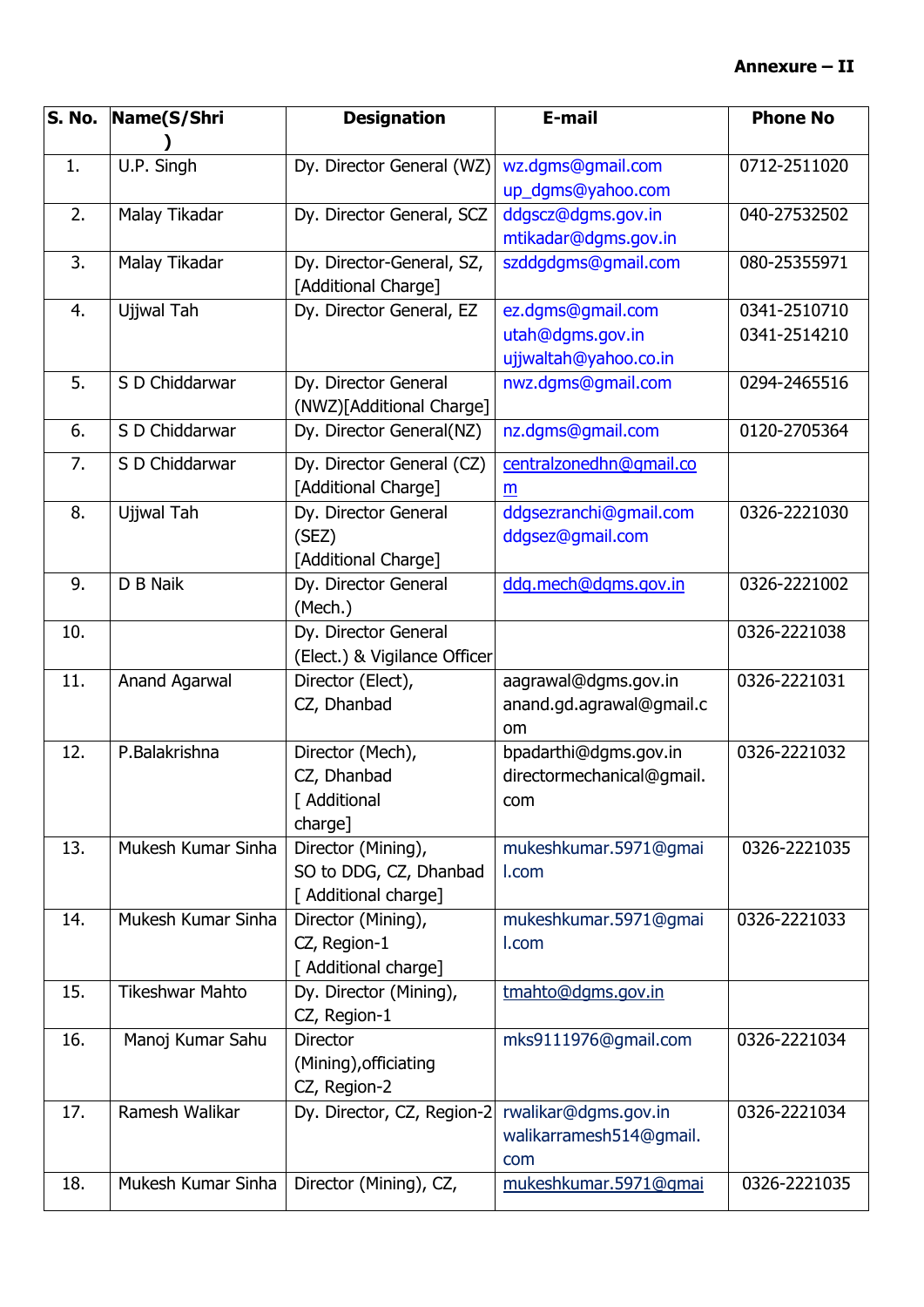| S. No. | Name(S/Shri            | <b>Designation</b>                                                   | E-mail                                                         | <b>Phone No</b>              |
|--------|------------------------|----------------------------------------------------------------------|----------------------------------------------------------------|------------------------------|
| 1.     | U.P. Singh             | Dy. Director General (WZ)                                            | wz.dgms@gmail.com<br>up_dgms@yahoo.com                         | 0712-2511020                 |
| 2.     | Malay Tikadar          | Dy. Director General, SCZ                                            | ddgscz@dgms.gov.in<br>mtikadar@dgms.gov.in                     | 040-27532502                 |
| 3.     | Malay Tikadar          | Dy. Director-General, SZ,<br>[Additional Charge]                     | szddgdgms@gmail.com                                            | 080-25355971                 |
| 4.     | Ujjwal Tah             | Dy. Director General, EZ                                             | ez.dgms@gmail.com<br>utah@dgms.gov.in<br>ujjwaltah@yahoo.co.in | 0341-2510710<br>0341-2514210 |
| 5.     | S D Chiddarwar         | Dy. Director General<br>(NWZ)[Additional Charge]                     | nwz.dgms@gmail.com                                             | 0294-2465516                 |
| 6.     | S D Chiddarwar         | Dy. Director General(NZ)                                             | nz.dgms@gmail.com                                              | 0120-2705364                 |
| 7.     | S D Chiddarwar         | Dy. Director General (CZ)<br>[Additional Charge]                     | centralzonedhn@gmail.co<br>m                                   |                              |
| 8.     | Ujjwal Tah             | Dy. Director General<br>(SEZ)<br>[Additional Charge]                 | ddgsezranchi@gmail.com<br>ddgsez@gmail.com                     | 0326-2221030                 |
| 9.     | D B Naik               | Dy. Director General<br>(Mech.)                                      | ddg.mech@dgms.gov.in                                           | 0326-2221002                 |
| 10.    |                        | Dy. Director General<br>(Elect.) & Vigilance Officer                 |                                                                | 0326-2221038                 |
| 11.    | Anand Agarwal          | Director (Elect),<br>CZ, Dhanbad                                     | aagrawal@dgms.gov.in<br>anand.gd.agrawal@gmail.c<br>om         | 0326-2221031                 |
| 12.    | P.Balakrishna          | Director (Mech),<br>CZ, Dhanbad<br>[ Additional<br>charge]           | bpadarthi@dgms.gov.in<br>directormechanical@gmail.<br>com      | 0326-2221032                 |
| 13.    | Mukesh Kumar Sinha     | Director (Mining),<br>SO to DDG, CZ, Dhanbad<br>[ Additional charge] | mukeshkumar.5971@gmai<br>I.com                                 | 0326-2221035                 |
| 14.    | Mukesh Kumar Sinha     | Director (Mining),<br>CZ, Region-1<br>[ Additional charge]           | mukeshkumar.5971@gmai<br>I.com                                 | 0326-2221033                 |
| 15.    | <b>Tikeshwar Mahto</b> | Dy. Director (Mining),<br>CZ, Region-1                               | tmahto@dgms.gov.in                                             |                              |
| 16.    | Manoj Kumar Sahu       | <b>Director</b><br>(Mining), officiating<br>CZ, Region-2             | mks9111976@gmail.com                                           | 0326-2221034                 |
| 17.    | Ramesh Walikar         | Dy. Director, CZ, Region-2                                           | rwalikar@dgms.gov.in<br>walikarramesh514@gmail.<br>com         | 0326-2221034                 |
| 18.    | Mukesh Kumar Sinha     | Director (Mining), CZ,                                               | mukeshkumar.5971@qmai                                          | 0326-2221035                 |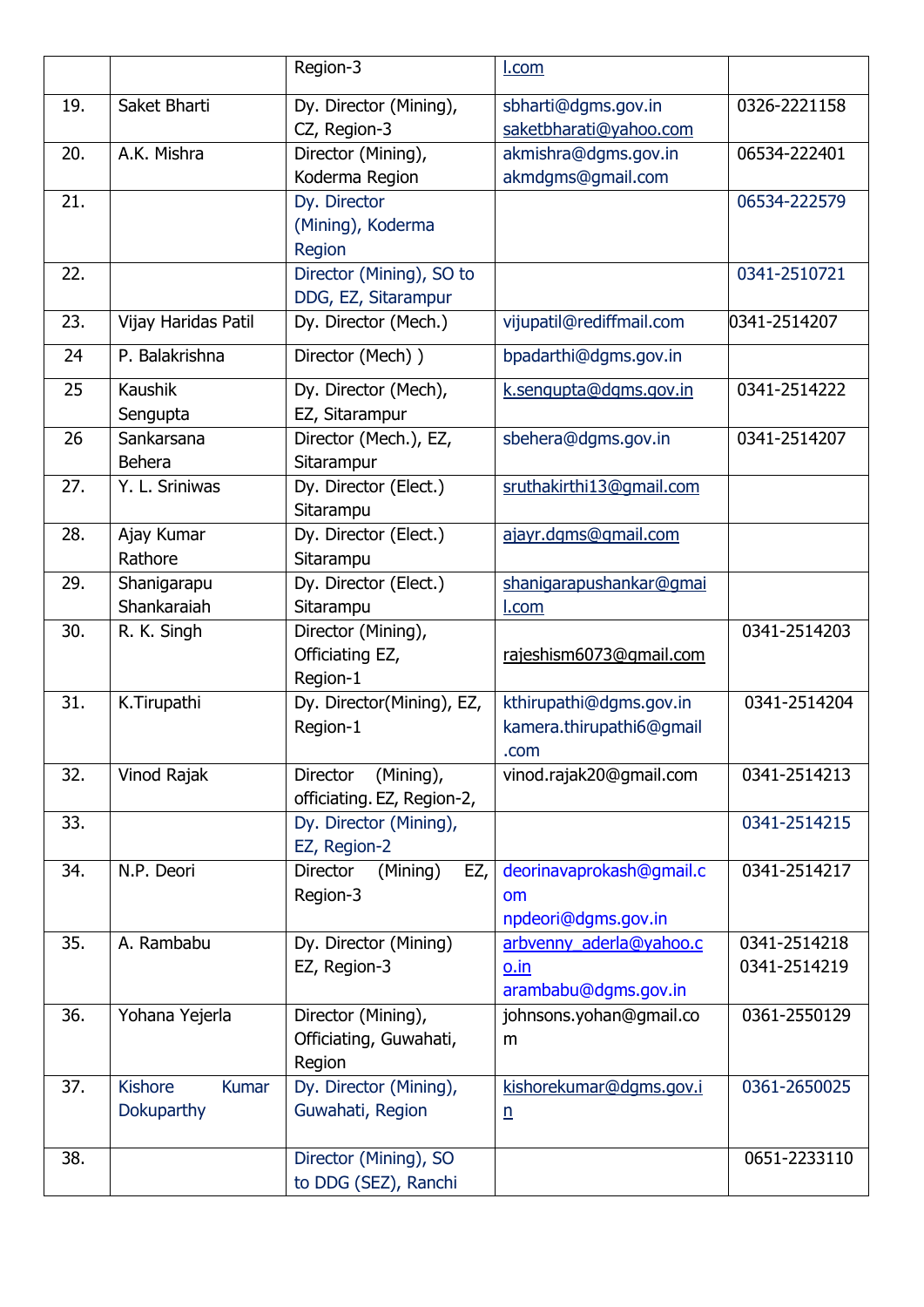|     |                                              | Region-3                                                   | <u>I.com</u>                                                |                              |
|-----|----------------------------------------------|------------------------------------------------------------|-------------------------------------------------------------|------------------------------|
| 19. | Saket Bharti                                 | Dy. Director (Mining),<br>CZ, Region-3                     | sbharti@dgms.gov.in<br>saketbharati@yahoo.com               | 0326-2221158                 |
| 20. | A.K. Mishra                                  | Director (Mining),<br>Koderma Region                       | akmishra@dgms.gov.in<br>akmdgms@gmail.com                   | 06534-222401                 |
| 21. |                                              | Dy. Director<br>(Mining), Koderma<br>Region                |                                                             | 06534-222579                 |
| 22. |                                              | Director (Mining), SO to<br>DDG, EZ, Sitarampur            |                                                             | 0341-2510721                 |
| 23. | Vijay Haridas Patil                          | Dy. Director (Mech.)                                       | vijupatil@rediffmail.com                                    | 0341-2514207                 |
| 24  | P. Balakrishna                               | Director (Mech))                                           | bpadarthi@dgms.gov.in                                       |                              |
| 25  | Kaushik<br>Sengupta                          | Dy. Director (Mech),<br>EZ, Sitarampur                     | k.sengupta@dgms.gov.in                                      | 0341-2514222                 |
| 26  | Sankarsana<br><b>Behera</b>                  | Director (Mech.), EZ,<br>Sitarampur                        | sbehera@dgms.gov.in                                         | 0341-2514207                 |
| 27. | Y. L. Sriniwas                               | Dy. Director (Elect.)<br>Sitarampu                         | sruthakirthi13@qmail.com                                    |                              |
| 28. | Ajay Kumar<br>Rathore                        | Dy. Director (Elect.)<br>Sitarampu                         | ajayr.dgms@gmail.com                                        |                              |
| 29. | Shanigarapu<br>Shankaraiah                   | Dy. Director (Elect.)<br>Sitarampu                         | shanigarapushankar@gmai<br><u>l.com</u>                     |                              |
| 30. | R. K. Singh                                  | Director (Mining),<br>Officiating EZ,<br>Region-1          | rajeshism6073@gmail.com                                     | 0341-2514203                 |
| 31. | K.Tirupathi                                  | Dy. Director(Mining), EZ,<br>Region-1                      | kthirupathi@dgms.gov.in<br>kamera.thirupathi6@gmail<br>.com | 0341-2514204                 |
| 32. | Vinod Rajak                                  | (Mining),<br><b>Director</b><br>officiating. EZ, Region-2, | vinod.rajak20@gmail.com                                     | 0341-2514213                 |
| 33. |                                              | Dy. Director (Mining),<br>EZ, Region-2                     |                                                             | 0341-2514215                 |
| 34. | N.P. Deori                                   | (Mining)<br><b>Director</b><br>EZ,<br>Region-3             | deorinavaprokash@gmail.c<br>om<br>npdeori@dgms.gov.in       | 0341-2514217                 |
| 35. | A. Rambabu                                   | Dy. Director (Mining)<br>EZ, Region-3                      | arbvenny_aderla@yahoo.c<br>o.in<br>arambabu@dgms.gov.in     | 0341-2514218<br>0341-2514219 |
| 36. | Yohana Yejerla                               | Director (Mining),<br>Officiating, Guwahati,<br>Region     | johnsons.yohan@gmail.co<br>m                                | 0361-2550129                 |
| 37. | <b>Kishore</b><br><b>Kumar</b><br>Dokuparthy | Dy. Director (Mining),<br>Guwahati, Region                 | kishorekumar@dgms.gov.i<br>$\underline{n}$                  | 0361-2650025                 |
| 38. |                                              | Director (Mining), SO<br>to DDG (SEZ), Ranchi              |                                                             | 0651-2233110                 |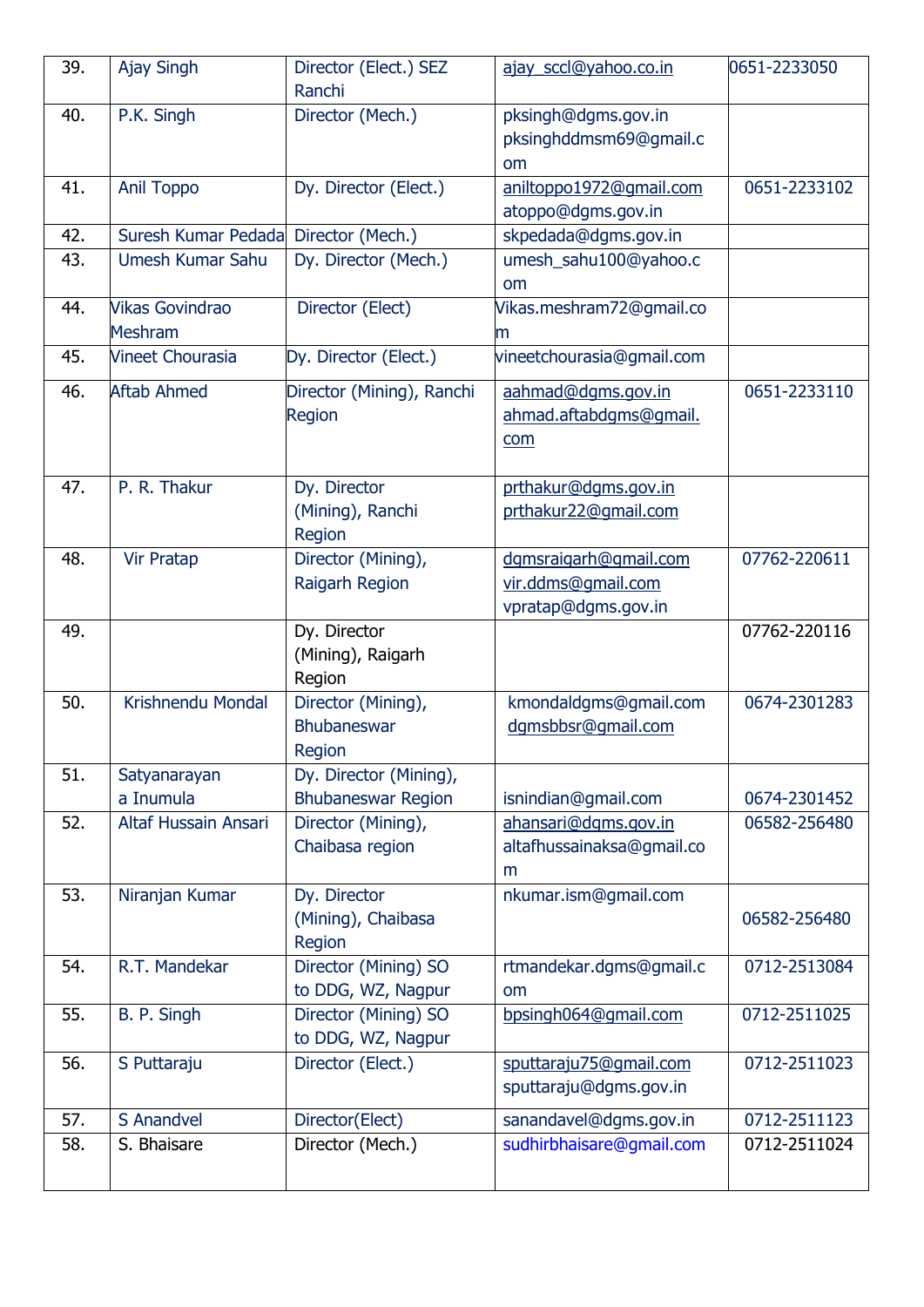| 39. | <b>Ajay Singh</b>                 | Director (Elect.) SEZ                               | ajay_sccl@yahoo.co.in                                              | 0651-2233050 |
|-----|-----------------------------------|-----------------------------------------------------|--------------------------------------------------------------------|--------------|
| 40. | P.K. Singh                        | Ranchi<br>Director (Mech.)                          | pksingh@dgms.gov.in<br>pksinghddmsm69@gmail.c                      |              |
| 41. | <b>Anil Toppo</b>                 | Dy. Director (Elect.)                               | <b>om</b><br>aniltoppo1972@qmail.com<br>atoppo@dgms.gov.in         | 0651-2233102 |
| 42. | Suresh Kumar Pedada               | Director (Mech.)                                    | skpedada@dgms.gov.in                                               |              |
| 43. | Umesh Kumar Sahu                  | Dy. Director (Mech.)                                | umesh_sahu100@yahoo.c<br>om                                        |              |
| 44. | <b>Vikas Govindrao</b><br>Meshram | Director (Elect)                                    | Vikas.meshram72@gmail.co<br>m                                      |              |
| 45. | <b>Vineet Chourasia</b>           | Dy. Director (Elect.)                               | vineetchourasia@gmail.com                                          |              |
| 46. | <b>Aftab Ahmed</b>                | Director (Mining), Ranchi<br>Region                 | aahmad@dqms.gov.in<br>ahmad.aftabdgms@gmail.<br>com                | 0651-2233110 |
| 47. | P. R. Thakur                      | Dy. Director<br>(Mining), Ranchi<br>Region          | prthakur@dgms.gov.in<br>prthakur22@qmail.com                       |              |
| 48. | Vir Pratap                        | Director (Mining),<br>Raigarh Region                | dgmsraigarh@gmail.com<br>vir.ddms@gmail.com<br>vpratap@dgms.gov.in | 07762-220611 |
| 49. |                                   | Dy. Director<br>(Mining), Raigarh<br>Region         |                                                                    | 07762-220116 |
| 50. | Krishnendu Mondal                 | Director (Mining),<br><b>Bhubaneswar</b><br>Region  | kmondaldgms@gmail.com<br>dgmsbbsr@gmail.com                        | 0674-2301283 |
| 51. | Satyanarayan<br>a Inumula         | Dy. Director (Mining),<br><b>Bhubaneswar Region</b> | isnindian@gmail.com                                                | 0674-2301452 |
| 52. | Altaf Hussain Ansari              | Director (Mining),<br>Chaibasa region               | ahansari@dqms.gov.in<br>altafhussainaksa@gmail.co<br>m             | 06582-256480 |
| 53. | Niranjan Kumar                    | Dy. Director<br>(Mining), Chaibasa<br>Region        | nkumar.ism@gmail.com                                               | 06582-256480 |
| 54. | R.T. Mandekar                     | Director (Mining) SO<br>to DDG, WZ, Nagpur          | rtmandekar.dgms@gmail.c<br>om                                      | 0712-2513084 |
| 55. | B. P. Singh                       | Director (Mining) SO<br>to DDG, WZ, Nagpur          | bpsingh064@gmail.com                                               | 0712-2511025 |
| 56. | S Puttaraju                       | Director (Elect.)                                   | sputtaraju75@qmail.com<br>sputtaraju@dgms.gov.in                   | 0712-2511023 |
| 57. | S Anandvel                        | Director(Elect)                                     | sanandavel@dgms.gov.in                                             | 0712-2511123 |
| 58. | S. Bhaisare                       | Director (Mech.)                                    | sudhirbhaisare@gmail.com                                           | 0712-2511024 |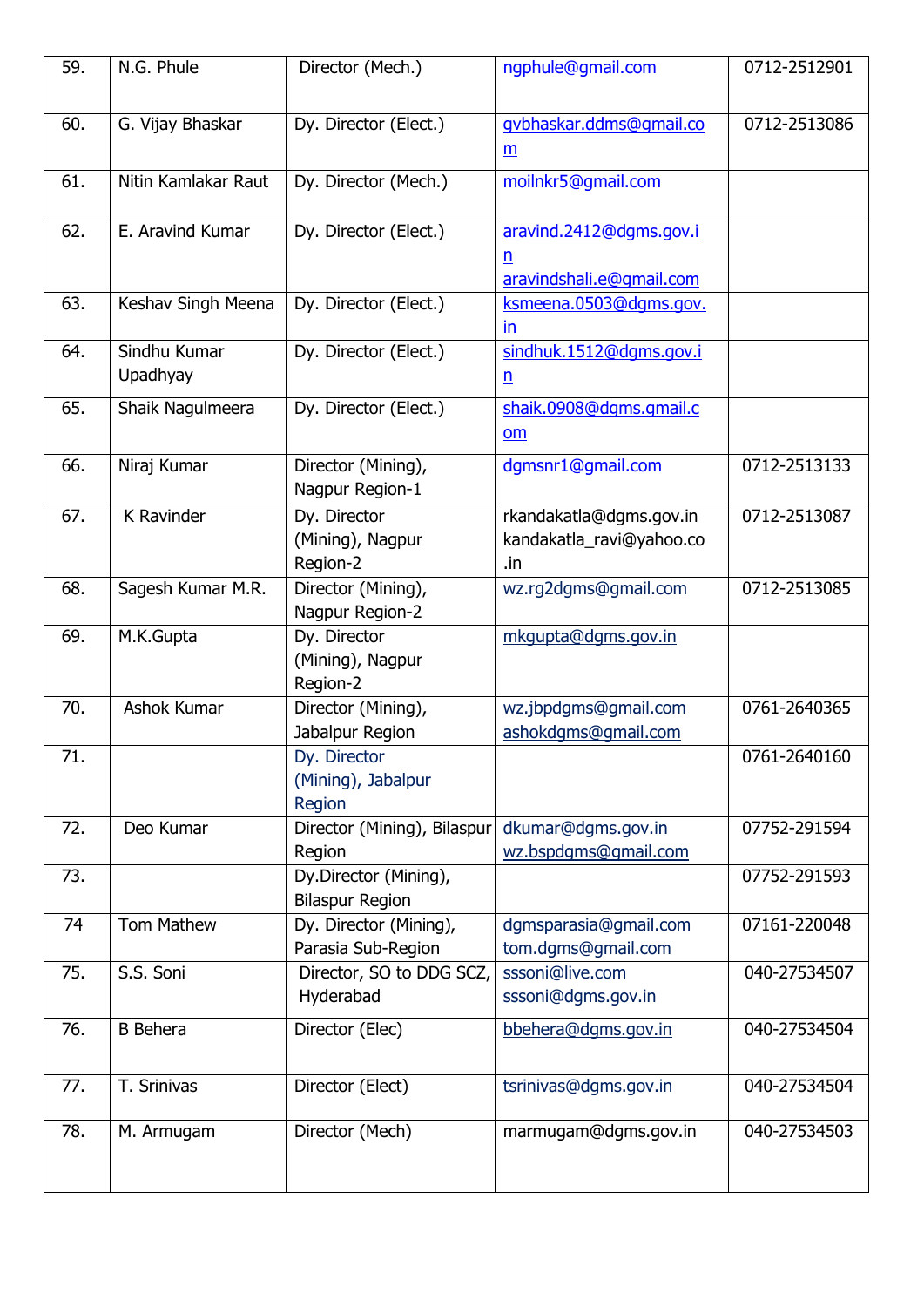| 59. | N.G. Phule               | Director (Mech.)                                | ngphule@gmail.com                                          | 0712-2512901 |
|-----|--------------------------|-------------------------------------------------|------------------------------------------------------------|--------------|
| 60. | G. Vijay Bhaskar         | Dy. Director (Elect.)                           | gybhaskar.ddms@gmail.co<br>$\underline{m}$                 | 0712-2513086 |
| 61. | Nitin Kamlakar Raut      | Dy. Director (Mech.)                            | moilnkr5@gmail.com                                         |              |
| 62. | E. Aravind Kumar         | Dy. Director (Elect.)                           | aravind.2412@dgms.gov.i<br>n<br>aravindshali.e@qmail.com   |              |
| 63. | Keshav Singh Meena       | Dy. Director (Elect.)                           | ksmeena.0503@dqms.gov.<br>$\mathsf{In}$                    |              |
| 64. | Sindhu Kumar<br>Upadhyay | Dy. Director (Elect.)                           | sindhuk.1512@dqms.gov.i<br>$\underline{n}$                 |              |
| 65. | Shaik Nagulmeera         | Dy. Director (Elect.)                           | shaik.0908@dqms.qmail.c<br>om                              |              |
| 66. | Niraj Kumar              | Director (Mining),<br>Nagpur Region-1           | dgmsnr1@gmail.com                                          | 0712-2513133 |
| 67. | K Ravinder               | Dy. Director<br>(Mining), Nagpur<br>Region-2    | rkandakatla@dgms.gov.in<br>kandakatla_ravi@yahoo.co<br>.in | 0712-2513087 |
| 68. | Sagesh Kumar M.R.        | Director (Mining),<br>Nagpur Region-2           | wz.rg2dgms@gmail.com                                       | 0712-2513085 |
| 69. | M.K.Gupta                | Dy. Director<br>(Mining), Nagpur<br>Region-2    | mkgupta@dgms.gov.in                                        |              |
| 70. | Ashok Kumar              | Director (Mining),<br>Jabalpur Region           | wz.jbpdgms@gmail.com<br>ashokdgms@gmail.com                | 0761-2640365 |
| 71. |                          | Dy. Director<br>(Mining), Jabalpur<br>Region    |                                                            | 0761-2640160 |
| 72. | Deo Kumar                | Director (Mining), Bilaspur<br>Region           | dkumar@dgms.gov.in<br>wz.bspdgms@gmail.com                 | 07752-291594 |
| 73. |                          | Dy.Director (Mining),<br><b>Bilaspur Region</b> |                                                            | 07752-291593 |
| 74  | Tom Mathew               | Dy. Director (Mining),<br>Parasia Sub-Region    | dgmsparasia@gmail.com<br>tom.dgms@gmail.com                | 07161-220048 |
| 75. | S.S. Soni                | Director, SO to DDG SCZ,<br>Hyderabad           | sssoni@live.com<br>sssoni@dgms.gov.in                      | 040-27534507 |
| 76. | <b>B</b> Behera          | Director (Elec)                                 | bbehera@dqms.gov.in                                        | 040-27534504 |
| 77. | T. Srinivas              | Director (Elect)                                | tsrinivas@dgms.gov.in                                      | 040-27534504 |
| 78. | M. Armugam               | Director (Mech)                                 | marmugam@dgms.gov.in                                       | 040-27534503 |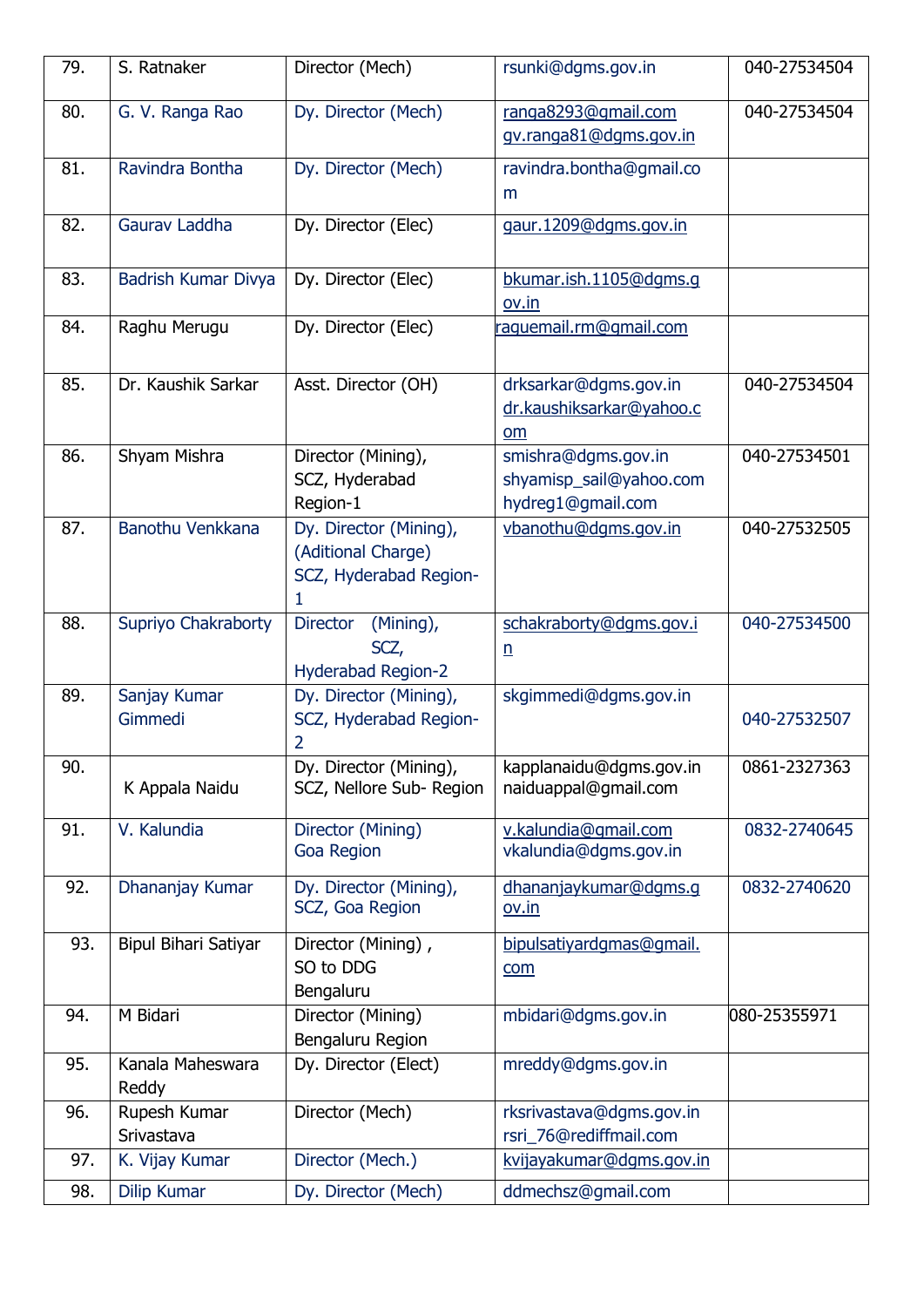| 79. | S. Ratnaker                | Director (Mech)                                                             | rsunki@dgms.gov.in                                                  | 040-27534504 |
|-----|----------------------------|-----------------------------------------------------------------------------|---------------------------------------------------------------------|--------------|
| 80. | G. V. Ranga Rao            | Dy. Director (Mech)                                                         | ranga8293@gmail.com<br>gv.ranga81@dgms.gov.in                       | 040-27534504 |
| 81. | Ravindra Bontha            | Dy. Director (Mech)                                                         | ravindra.bontha@gmail.co<br>m                                       |              |
| 82. | Gaurav Laddha              | Dy. Director (Elec)                                                         | gaur.1209@dgms.gov.in                                               |              |
| 83. | Badrish Kumar Divya        | Dy. Director (Elec)                                                         | bkumar.ish.1105@dgms.g<br>ov.in                                     |              |
| 84. | Raghu Merugu               | Dy. Director (Elec)                                                         | raguemail.rm@gmail.com                                              |              |
| 85. | Dr. Kaushik Sarkar         | Asst. Director (OH)                                                         | drksarkar@dgms.gov.in<br>dr.kaushiksarkar@yahoo.c<br>om             | 040-27534504 |
| 86. | Shyam Mishra               | Director (Mining),<br>SCZ, Hyderabad<br>Region-1                            | smishra@dgms.gov.in<br>shyamisp_sail@yahoo.com<br>hydreg1@gmail.com | 040-27534501 |
| 87. | Banothu Venkkana           | Dy. Director (Mining),<br>(Aditional Charge)<br>SCZ, Hyderabad Region-<br>1 | vbanothu@dgms.gov.in                                                | 040-27532505 |
| 88. | Supriyo Chakraborty        | (Mining),<br><b>Director</b><br>SCZ,<br><b>Hyderabad Region-2</b>           | schakraborty@dgms.gov.i<br>$\underline{n}$                          | 040-27534500 |
| 89. | Sanjay Kumar<br>Gimmedi    | Dy. Director (Mining),<br>SCZ, Hyderabad Region-<br>$\overline{2}$          | skgimmedi@dgms.gov.in                                               | 040-27532507 |
| 90. | K Appala Naidu             | Dy. Director (Mining),<br>SCZ, Nellore Sub-Region                           | kapplanaidu@dgms.gov.in<br>naiduappal@gmail.com                     | 0861-2327363 |
| 91. | V. Kalundia                | Director (Mining)<br><b>Goa Region</b>                                      | v.kalundia@qmail.com<br>vkalundia@dgms.gov.in                       | 0832-2740645 |
| 92. | Dhananjay Kumar            | Dy. Director (Mining),<br>SCZ, Goa Region                                   | dhananjaykumar@dqms.q<br>ov.in                                      | 0832-2740620 |
| 93. | Bipul Bihari Satiyar       | Director (Mining),<br>SO to DDG<br>Bengaluru                                | bipulsatiyardqmas@qmail.<br>com                                     |              |
| 94. | M Bidari                   | Director (Mining)<br>Bengaluru Region                                       | mbidari@dgms.gov.in                                                 | 080-25355971 |
| 95. | Kanala Maheswara<br>Reddy  | Dy. Director (Elect)                                                        | mreddy@dgms.gov.in                                                  |              |
| 96. | Rupesh Kumar<br>Srivastava | Director (Mech)                                                             | rksrivastava@dgms.gov.in<br>rsri 76@rediffmail.com                  |              |
| 97. | K. Vijay Kumar             | Director (Mech.)                                                            | kvijayakumar@dqms.gov.in                                            |              |
| 98. | <b>Dilip Kumar</b>         | Dy. Director (Mech)                                                         | ddmechsz@gmail.com                                                  |              |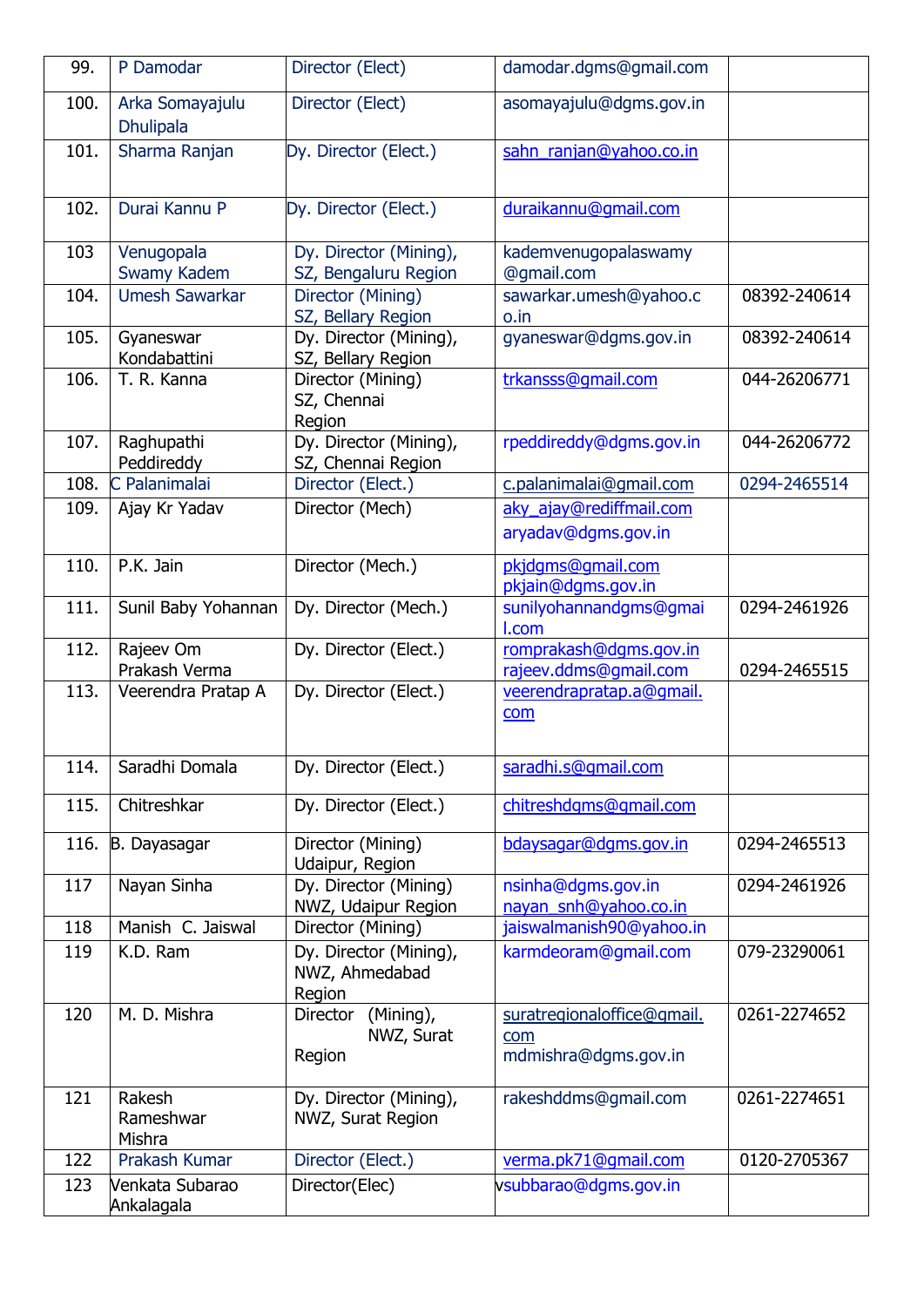| 99.  | P Damodar                           | Director (Elect)                                   | damodar.dgms@gmail.com                                    |              |
|------|-------------------------------------|----------------------------------------------------|-----------------------------------------------------------|--------------|
| 100. | Arka Somayajulu<br><b>Dhulipala</b> | Director (Elect)                                   | asomayajulu@dgms.gov.in                                   |              |
| 101. | Sharma Ranjan                       | Dy. Director (Elect.)                              | sahn ranjan@yahoo.co.in                                   |              |
| 102. | Durai Kannu P                       | Dy. Director (Elect.)                              | duraikannu@gmail.com                                      |              |
| 103  | Venugopala<br>Swamy Kadem           | Dy. Director (Mining),<br>SZ, Bengaluru Region     | kademvenugopalaswamy<br>@gmail.com                        |              |
| 104. | <b>Umesh Sawarkar</b>               | Director (Mining)<br>SZ, Bellary Region            | sawarkar.umesh@yahoo.c<br>o.in                            | 08392-240614 |
| 105. | Gyaneswar<br>Kondabattini           | Dy. Director (Mining),<br>SZ, Bellary Region       | gyaneswar@dgms.gov.in                                     | 08392-240614 |
| 106. | T. R. Kanna                         | Director (Mining)<br>SZ, Chennai<br>Region         | trkansss@gmail.com                                        | 044-26206771 |
| 107. | Raghupathi<br>Peddireddy            | Dy. Director (Mining),<br>SZ, Chennai Region       | rpeddireddy@dgms.gov.in                                   | 044-26206772 |
| 108. | C Palanimalai                       | Director (Elect.)                                  | c.palanimalai@gmail.com                                   | 0294-2465514 |
| 109. | Ajay Kr Yadav                       | Director (Mech)                                    | aky ajay@rediffmail.com<br>aryadav@dgms.gov.in            |              |
| 110. | P.K. Jain                           | Director (Mech.)                                   | pkjdgms@gmail.com<br>pkjain@dgms.gov.in                   |              |
| 111. | Sunil Baby Yohannan                 | Dy. Director (Mech.)                               | sunilyohannandgms@gmai<br>I.com                           | 0294-2461926 |
| 112. | Rajeev Om<br>Prakash Verma          | Dy. Director (Elect.)                              | romprakash@dgms.gov.in<br>rajeev.ddms@gmail.com           | 0294-2465515 |
| 113. | Veerendra Pratap A                  | Dy. Director (Elect.)                              | veerendrapratap.a@gmail.<br>com                           |              |
| 114. | Saradhi Domala                      | Dy. Director (Elect.)                              | saradhi.s@gmail.com                                       |              |
| 115. | Chitreshkar                         | Dy. Director (Elect.)                              | chitreshdgms@gmail.com                                    |              |
| 116. | B. Dayasagar                        | Director (Mining)<br>Udaipur, Region               | bdaysagar@dgms.gov.in                                     | 0294-2465513 |
| 117  | Nayan Sinha                         | Dy. Director (Mining)<br>NWZ, Udaipur Region       | nsinha@dgms.gov.in<br>nayan_snh@yahoo.co.in               | 0294-2461926 |
| 118  | Manish C. Jaiswal                   | Director (Mining)                                  | jaiswalmanish90@yahoo.in                                  |              |
| 119  | K.D. Ram                            | Dy. Director (Mining),<br>NWZ, Ahmedabad<br>Region | karmdeoram@gmail.com                                      | 079-23290061 |
| 120  | M. D. Mishra                        | (Mining),<br>Director<br>NWZ, Surat<br>Region      | suratregionaloffice@gmail.<br>com<br>mdmishra@dgms.gov.in | 0261-2274652 |
| 121  | Rakesh<br>Rameshwar<br>Mishra       | Dy. Director (Mining),<br>NWZ, Surat Region        | rakeshddms@gmail.com                                      | 0261-2274651 |
| 122  | Prakash Kumar                       | Director (Elect.)                                  | verma.pk71@gmail.com                                      | 0120-2705367 |
| 123  | Venkata Subarao<br>Ankalagala       | Director(Elec)                                     | vsubbarao@dgms.gov.in                                     |              |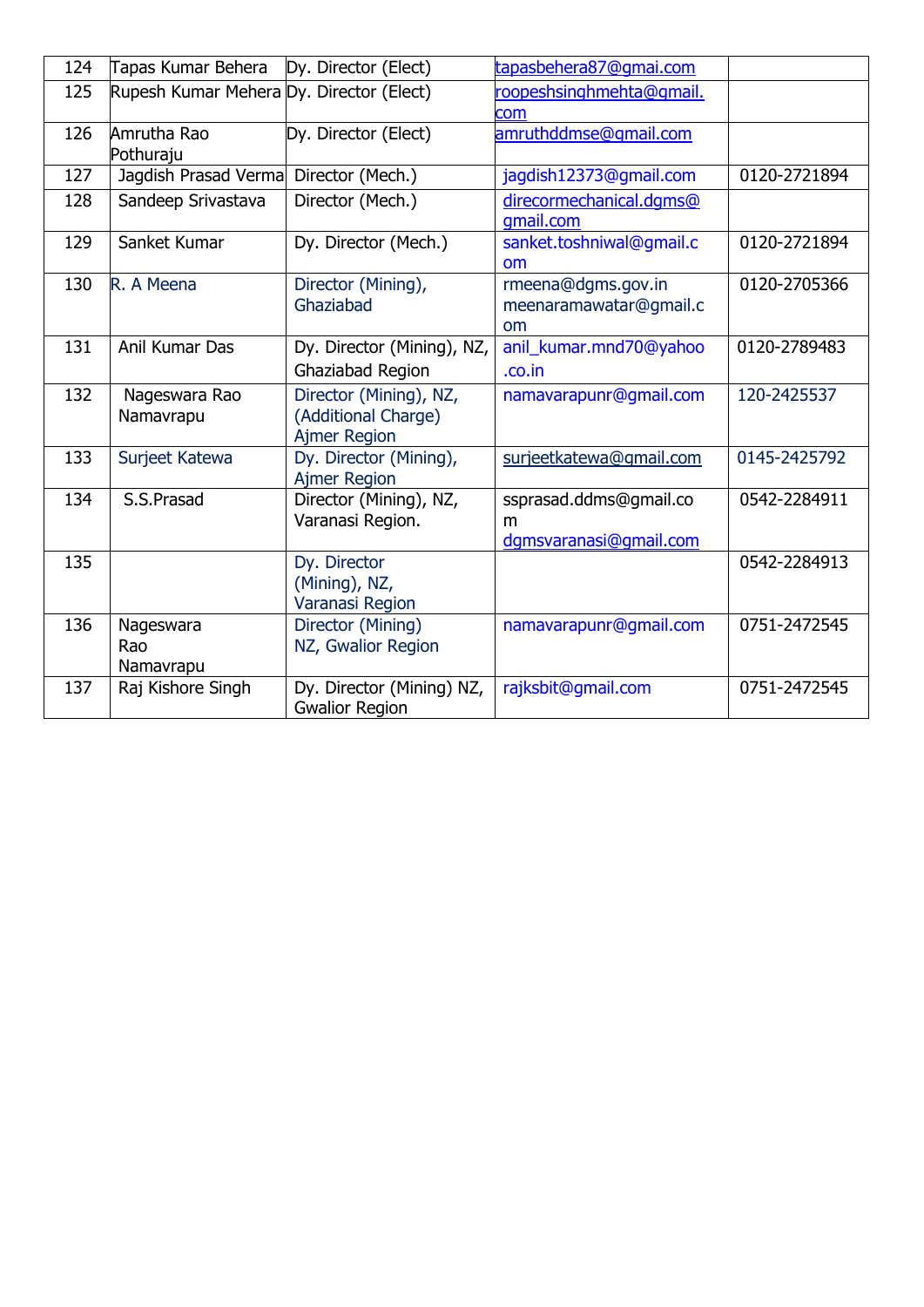| 124 | Tapas Kumar Behera                       | Dy. Director (Elect)                                                 | tapasbehera87@gmai.com                                |              |
|-----|------------------------------------------|----------------------------------------------------------------------|-------------------------------------------------------|--------------|
| 125 | Rupesh Kumar Mehera Dy. Director (Elect) |                                                                      | roopeshsinghmehta@gmail.<br>com                       |              |
| 126 | Amrutha Rao<br>Pothuraju                 | Dy. Director (Elect)                                                 | amruthddmse@gmail.com                                 |              |
| 127 | Jagdish Prasad Verma                     | Director (Mech.)                                                     | jagdish12373@gmail.com                                | 0120-2721894 |
| 128 | Sandeep Srivastava                       | Director (Mech.)                                                     | direcormechanical.dqms@<br>qmail.com                  |              |
| 129 | Sanket Kumar                             | Dy. Director (Mech.)                                                 | sanket.toshniwal@gmail.c<br><b>om</b>                 | 0120-2721894 |
| 130 | R. A Meena                               | Director (Mining),<br>Ghaziabad                                      | rmeena@dgms.gov.in<br>meenaramawatar@gmail.c<br>om    | 0120-2705366 |
| 131 | Anil Kumar Das                           | Dy. Director (Mining), NZ,<br>Ghaziabad Region                       | anil_kumar.mnd70@yahoo<br>.co.in                      | 0120-2789483 |
| 132 | Nageswara Rao<br>Namavrapu               | Director (Mining), NZ,<br>(Additional Charge)<br><b>Ajmer Region</b> | namavarapunr@gmail.com                                | 120-2425537  |
| 133 | Surjeet Katewa                           | Dy. Director (Mining),<br><b>Ajmer Region</b>                        | surjeetkatewa@gmail.com                               | 0145-2425792 |
| 134 | S.S.Prasad                               | Director (Mining), NZ,<br>Varanasi Region.                           | ssprasad.ddms@gmail.co<br>m<br>dgmsvaranasi@gmail.com | 0542-2284911 |
| 135 |                                          | Dy. Director<br>(Mining), NZ,<br>Varanasi Region                     |                                                       | 0542-2284913 |
| 136 | Nageswara<br>Rao<br>Namavrapu            | Director (Mining)<br>NZ, Gwalior Region                              | namavarapunr@gmail.com                                | 0751-2472545 |
| 137 | Raj Kishore Singh                        | Dy. Director (Mining) NZ,<br><b>Gwalior Region</b>                   | rajksbit@gmail.com                                    | 0751-2472545 |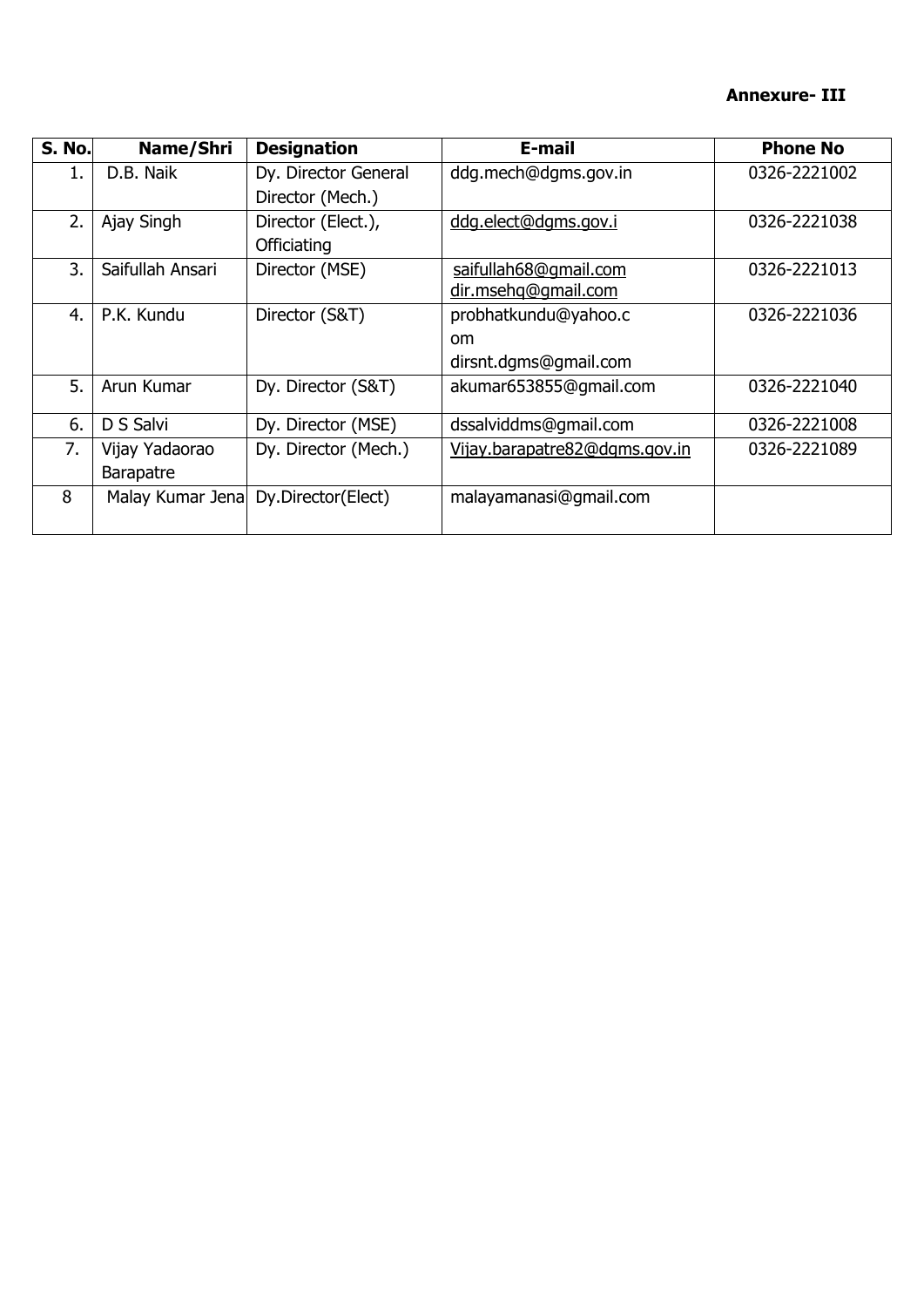#### **Annexure- III**

| <b>S. No.</b> | Name/Shri        | <b>Designation</b>   | E-mail                        | <b>Phone No</b> |
|---------------|------------------|----------------------|-------------------------------|-----------------|
| 1.            | D.B. Naik        | Dy. Director General | ddg.mech@dgms.gov.in          | 0326-2221002    |
|               |                  | Director (Mech.)     |                               |                 |
| 2.            | Ajay Singh       | Director (Elect.),   | ddg.elect@dgms.gov.i          | 0326-2221038    |
|               |                  | Officiating          |                               |                 |
| 3.            | Saifullah Ansari | Director (MSE)       | saifullah68@gmail.com         | 0326-2221013    |
|               |                  |                      | dir.msehq@gmail.com           |                 |
| 4.            | P.K. Kundu       | Director (S&T)       | probhatkundu@yahoo.c          | 0326-2221036    |
|               |                  |                      | <sub>om</sub>                 |                 |
|               |                  |                      | dirsnt.dgms@gmail.com         |                 |
| 5.            | Arun Kumar       | Dy. Director (S&T)   | akumar653855@gmail.com        | 0326-2221040    |
| 6.            | D S Salvi        | Dy. Director (MSE)   | dssalviddms@gmail.com         | 0326-2221008    |
| 7.            | Vijay Yadaorao   | Dy. Director (Mech.) | Vijay.barapatre82@dgms.gov.in | 0326-2221089    |
|               | <b>Barapatre</b> |                      |                               |                 |
| 8             | Malay Kumar Jena | Dy.Director(Elect)   | malayamanasi@gmail.com        |                 |
|               |                  |                      |                               |                 |